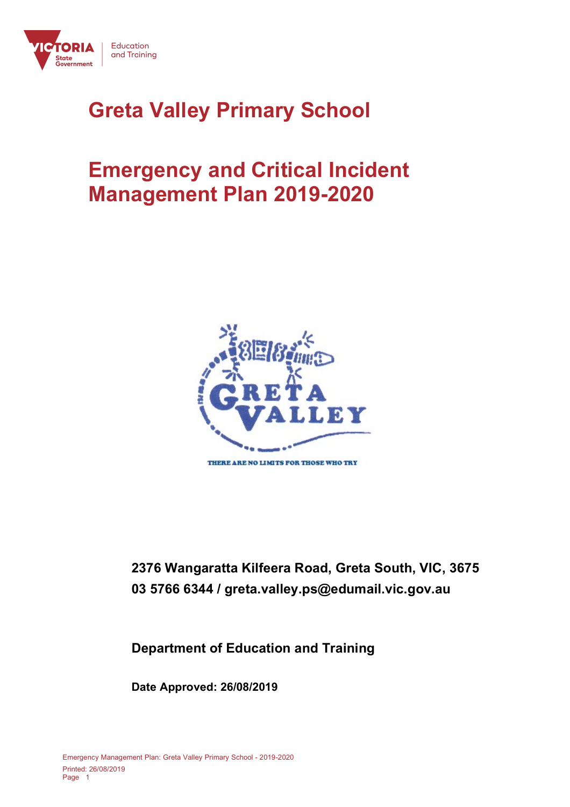

# **Greta Valley Primary School**

## **Emergency and Critical Incident Management Plan 2019-2020**



#### **2376 Wangaratta Kilfeera Road, Greta South, VIC, 3675 03 5766 6344 / greta.valley.ps@edumail.vic.gov.au**

#### **Department of Education and Training**

**Date Approved: 26/08/2019**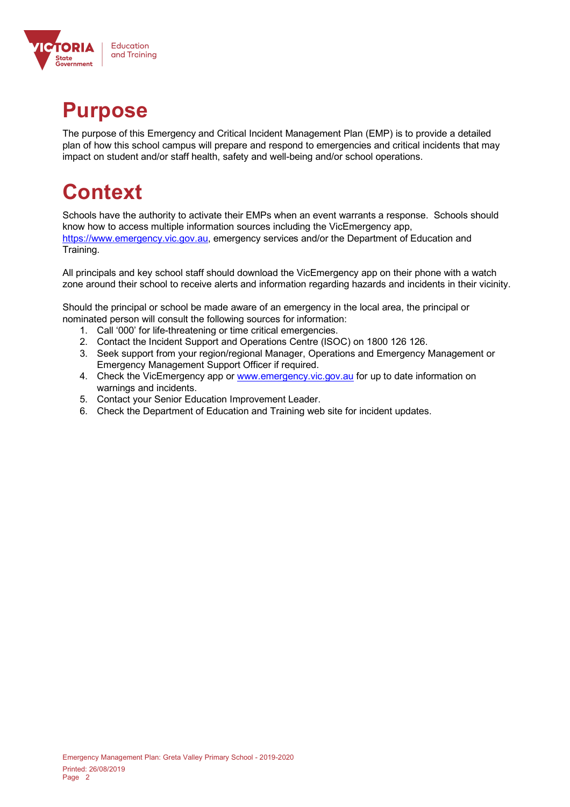

## **Purpose**

The purpose of this Emergency and Critical Incident Management Plan (EMP) is to provide a detailed plan of how this school campus will prepare and respond to emergencies and critical incidents that may impact on student and/or staff health, safety and well-being and/or school operations.

## **Context**

Schools have the authority to activate their EMPs when an event warrants a response. Schools should know how to access multiple information sources including the VicEmergency app, https://www.emergency.vic.gov.au, emergency services and/or the Department of Education and Training.

All principals and key school staff should download the VicEmergency app on their phone with a watch zone around their school to receive alerts and information regarding hazards and incidents in their vicinity.

Should the principal or school be made aware of an emergency in the local area, the principal or nominated person will consult the following sources for information:

- 1. Call '000' for life-threatening or time critical emergencies.
- 2. Contact the Incident Support and Operations Centre (ISOC) on 1800 126 126.
- 3. Seek support from your region/regional Manager, Operations and Emergency Management or Emergency Management Support Officer if required.
- 4. Check the VicEmergency app or www.emergency.vic.gov.au for up to date information on warnings and incidents.
- 5. Contact your Senior Education Improvement Leader.
- 6. Check the Department of Education and Training web site for incident updates.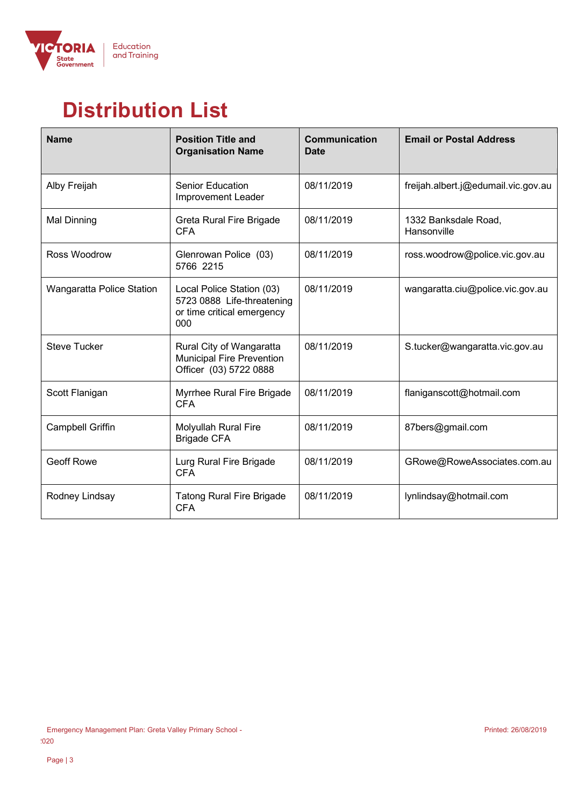

# **Distribution List**

| <b>Name</b>                      | <b>Position Title and</b><br><b>Organisation Name</b>                                        | Communication<br>Date | <b>Email or Postal Address</b>      |
|----------------------------------|----------------------------------------------------------------------------------------------|-----------------------|-------------------------------------|
| Alby Freijah                     | <b>Senior Education</b><br>Improvement Leader                                                | 08/11/2019            | freijah.albert.j@edumail.vic.gov.au |
| Mal Dinning                      | Greta Rural Fire Brigade<br><b>CFA</b>                                                       | 08/11/2019            | 1332 Banksdale Road,<br>Hansonville |
| Ross Woodrow                     | Glenrowan Police (03)<br>5766 2215                                                           | 08/11/2019            | ross.woodrow@police.vic.gov.au      |
| <b>Wangaratta Police Station</b> | Local Police Station (03)<br>5723 0888 Life-threatening<br>or time critical emergency<br>000 | 08/11/2019            | wangaratta.ciu@police.vic.gov.au    |
| <b>Steve Tucker</b>              | Rural City of Wangaratta<br><b>Municipal Fire Prevention</b><br>Officer (03) 5722 0888       | 08/11/2019            | S.tucker@wangaratta.vic.gov.au      |
| Scott Flanigan                   | Myrrhee Rural Fire Brigade<br><b>CFA</b>                                                     | 08/11/2019            | flaniganscott@hotmail.com           |
| <b>Campbell Griffin</b>          | Molyullah Rural Fire<br><b>Brigade CFA</b>                                                   | 08/11/2019            | 87bers@gmail.com                    |
| <b>Geoff Rowe</b>                | Lurg Rural Fire Brigade<br><b>CFA</b>                                                        | 08/11/2019            | GRowe@RoweAssociates.com.au         |
| Rodney Lindsay                   | <b>Tatong Rural Fire Brigade</b><br><b>CFA</b>                                               | 08/11/2019            | lynlindsay@hotmail.com              |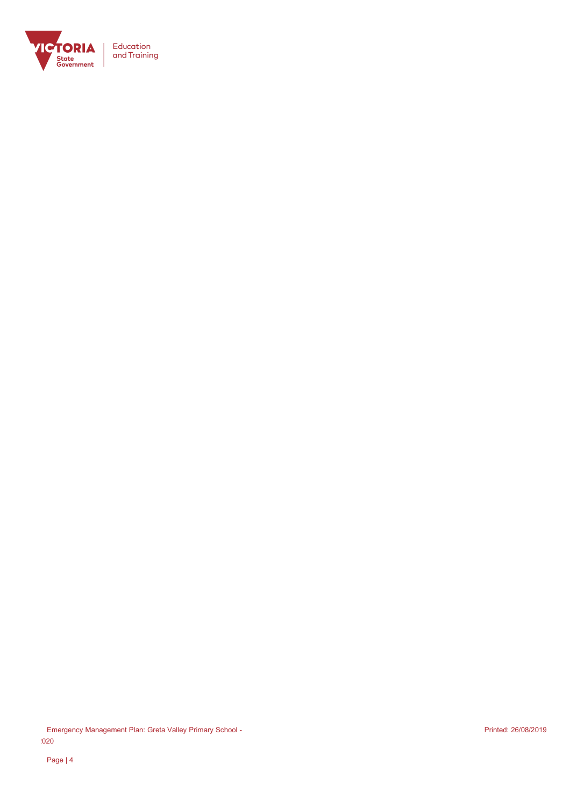

Education<br>and Training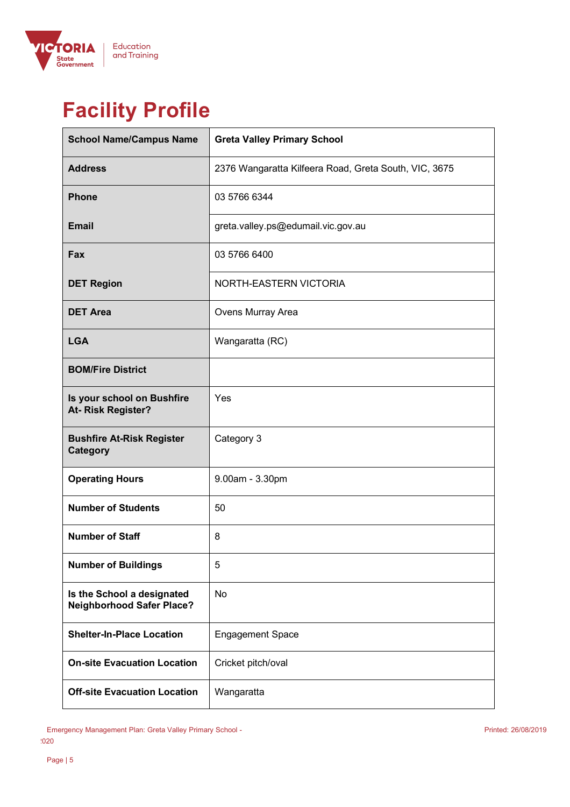

# **Facility Profile**

| <b>School Name/Campus Name</b>                                 | <b>Greta Valley Primary School</b>                    |  |
|----------------------------------------------------------------|-------------------------------------------------------|--|
| <b>Address</b>                                                 | 2376 Wangaratta Kilfeera Road, Greta South, VIC, 3675 |  |
| <b>Phone</b>                                                   | 03 5766 6344                                          |  |
| <b>Email</b>                                                   | greta.valley.ps@edumail.vic.gov.au                    |  |
| Fax                                                            | 03 5766 6400                                          |  |
| <b>DET Region</b>                                              | NORTH-EASTERN VICTORIA                                |  |
| <b>DET Area</b>                                                | Ovens Murray Area                                     |  |
| <b>LGA</b>                                                     | Wangaratta (RC)                                       |  |
| <b>BOM/Fire District</b>                                       |                                                       |  |
| Is your school on Bushfire<br>At-Risk Register?                | Yes                                                   |  |
| <b>Bushfire At-Risk Register</b><br><b>Category</b>            | Category 3                                            |  |
| <b>Operating Hours</b>                                         | 9.00am - 3.30pm                                       |  |
| <b>Number of Students</b>                                      | 50                                                    |  |
| <b>Number of Staff</b>                                         | 8                                                     |  |
| <b>Number of Buildings</b>                                     | 5                                                     |  |
| Is the School a designated<br><b>Neighborhood Safer Place?</b> | <b>No</b>                                             |  |
| <b>Shelter-In-Place Location</b>                               | <b>Engagement Space</b>                               |  |
| <b>On-site Evacuation Location</b>                             | Cricket pitch/oval                                    |  |
| <b>Off-site Evacuation Location</b>                            | Wangaratta                                            |  |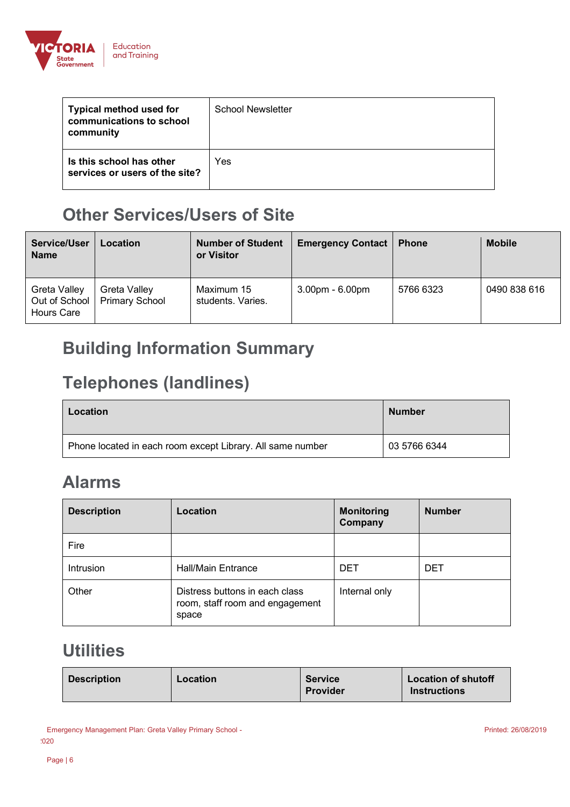

| <b>Typical method used for</b><br>communications to school<br>community | <b>School Newsletter</b> |
|-------------------------------------------------------------------------|--------------------------|
| Is this school has other<br>services or users of the site?              | Yes                      |

### **Other Services/Users of Site**

| Service/User<br><b>Name</b>                          | Location                              | <b>Number of Student</b><br>or Visitor | <b>Emergency Contact   Phone</b> |           | <b>Mobile</b> |
|------------------------------------------------------|---------------------------------------|----------------------------------------|----------------------------------|-----------|---------------|
| <b>Greta Valley</b><br>Out of School  <br>Hours Care | Greta Valley<br><b>Primary School</b> | Maximum 15<br>students. Varies.        | $3.00pm - 6.00pm$                | 5766 6323 | 0490 838 616  |

### **Building Information Summary**

### **Telephones (landlines)**

| Location                                                   | <b>Number</b> |
|------------------------------------------------------------|---------------|
| Phone located in each room except Library. All same number | 03 5766 6344  |

#### **Alarms**

| <b>Description</b> | Location                                                                   | <b>Monitoring</b><br>Company | <b>Number</b> |
|--------------------|----------------------------------------------------------------------------|------------------------------|---------------|
| Fire               |                                                                            |                              |               |
| Intrusion          | <b>Hall/Main Entrance</b>                                                  | <b>DET</b>                   | <b>DET</b>    |
| Other              | Distress buttons in each class<br>room, staff room and engagement<br>space | Internal only                |               |

#### **Utilities**

| <b>Description</b> | Location | <b>Service</b>  | <b>Location of shutoff</b> |
|--------------------|----------|-----------------|----------------------------|
|                    |          | <b>Provider</b> | Instructions               |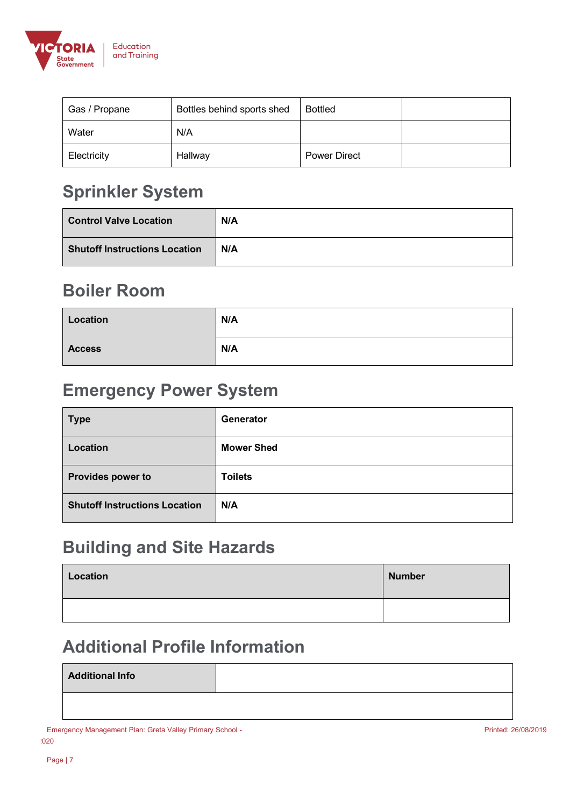

| Gas / Propane | Bottles behind sports shed | <b>Bottled</b>      |  |
|---------------|----------------------------|---------------------|--|
| Water         | N/A                        |                     |  |
| Electricity   | Hallway                    | <b>Power Direct</b> |  |

#### **Sprinkler System**

| <b>Control Valve Location</b>        | N/A |
|--------------------------------------|-----|
| <b>Shutoff Instructions Location</b> | N/A |

#### **Boiler Room**

| Location      | N/A |
|---------------|-----|
| <b>Access</b> | N/A |

### **Emergency Power System**

| <b>Type</b>                          | Generator         |
|--------------------------------------|-------------------|
| Location                             | <b>Mower Shed</b> |
| <b>Provides power to</b>             | <b>Toilets</b>    |
| <b>Shutoff Instructions Location</b> | N/A               |

#### **Building and Site Hazards**

| Location | <b>Number</b> |
|----------|---------------|
|          |               |

#### **Additional Profile Information**

**Additional Info**

Emergency Management Plan: Greta Valley Primary School -  $20^{10}$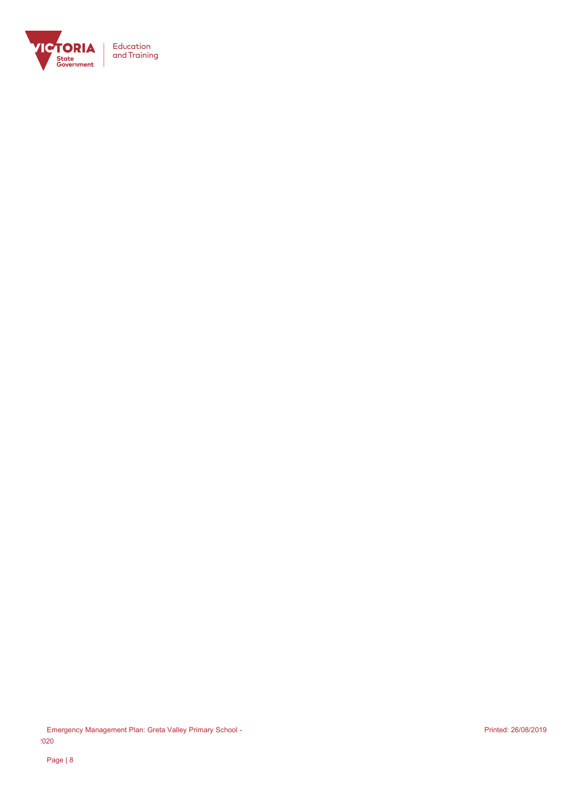

Education<br>and Training

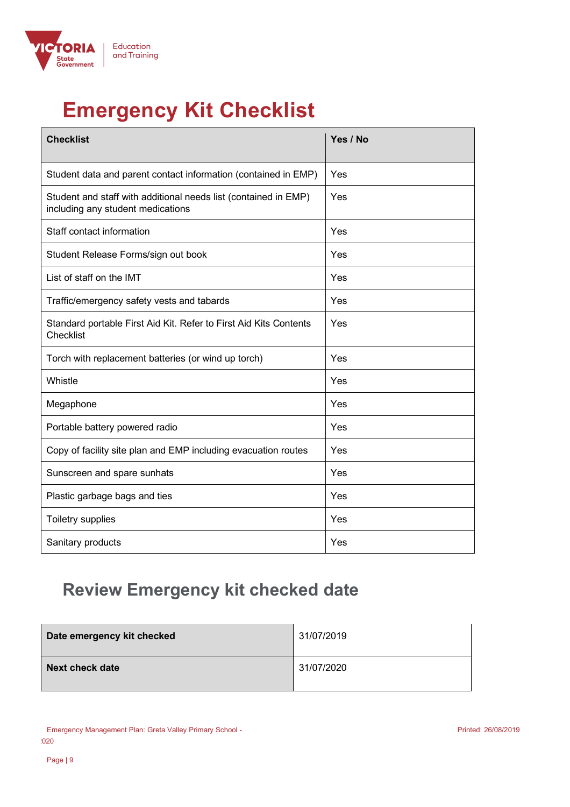

# **Emergency Kit Checklist**

| <b>Checklist</b>                                                                                     | Yes / No |
|------------------------------------------------------------------------------------------------------|----------|
| Student data and parent contact information (contained in EMP)                                       | Yes      |
| Student and staff with additional needs list (contained in EMP)<br>including any student medications | Yes      |
| Staff contact information                                                                            | Yes      |
| Student Release Forms/sign out book                                                                  | Yes      |
| List of staff on the IMT                                                                             | Yes      |
| Traffic/emergency safety vests and tabards                                                           | Yes      |
| Standard portable First Aid Kit. Refer to First Aid Kits Contents<br>Checklist                       | Yes      |
| Torch with replacement batteries (or wind up torch)                                                  | Yes      |
| Whistle                                                                                              | Yes      |
| Megaphone                                                                                            | Yes      |
| Portable battery powered radio                                                                       | Yes      |
| Copy of facility site plan and EMP including evacuation routes                                       | Yes      |
| Sunscreen and spare sunhats                                                                          | Yes      |
| Plastic garbage bags and ties                                                                        | Yes      |
| Toiletry supplies                                                                                    | Yes      |
| Sanitary products                                                                                    | Yes      |

### **Review Emergency kit checked date**

| Date emergency kit checked | 31/07/2019 |
|----------------------------|------------|
| <b>Next check date</b>     | 31/07/2020 |

Emergency Management Plan: Greta Valley Primary School -  $20^{10}$ 

Printed: 26/08/2019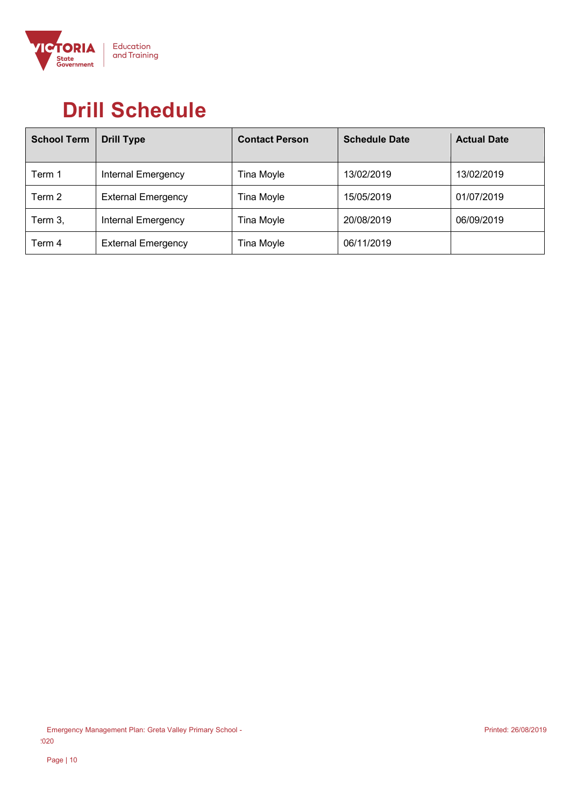

# **Drill Schedule**

| <b>School Term</b> | <b>Drill Type</b>         | <b>Contact Person</b> | <b>Schedule Date</b> | <b>Actual Date</b> |
|--------------------|---------------------------|-----------------------|----------------------|--------------------|
| Term 1             | Internal Emergency        | Tina Moyle            | 13/02/2019           | 13/02/2019         |
| Term 2             | <b>External Emergency</b> | Tina Moyle            | 15/05/2019           | 01/07/2019         |
| Term 3,            | <b>Internal Emergency</b> | Tina Moyle            | 20/08/2019           | 06/09/2019         |
| Term 4             | <b>External Emergency</b> | Tina Moyle            | 06/11/2019           |                    |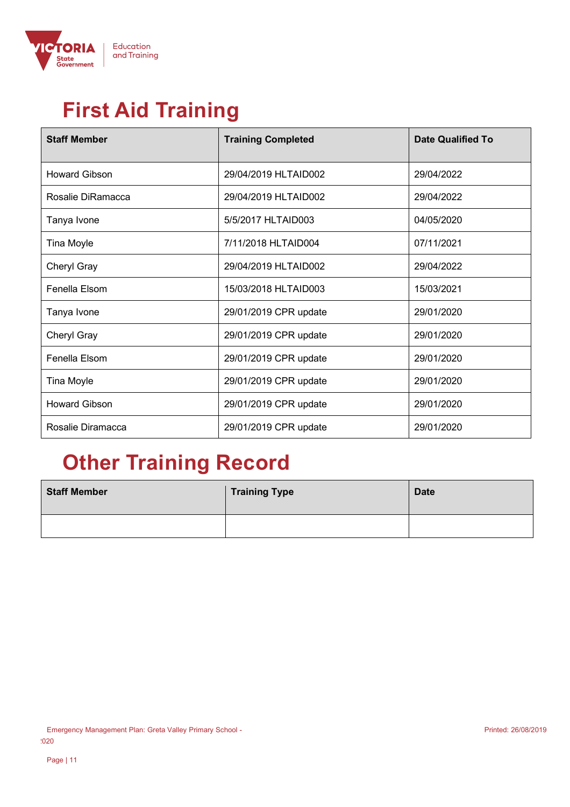

# **First Aid Training**

| <b>Staff Member</b>  | <b>Training Completed</b> | <b>Date Qualified To</b> |
|----------------------|---------------------------|--------------------------|
| <b>Howard Gibson</b> | 29/04/2019 HLTAID002      | 29/04/2022               |
| Rosalie DiRamacca    | 29/04/2019 HLTAID002      | 29/04/2022               |
| Tanya Ivone          | 5/5/2017 HLTAID003        | 04/05/2020               |
| Tina Moyle           | 7/11/2018 HLTAID004       | 07/11/2021               |
| Cheryl Gray          | 29/04/2019 HLTAID002      | 29/04/2022               |
| Fenella Elsom        | 15/03/2018 HLTAID003      | 15/03/2021               |
| Tanya Ivone          | 29/01/2019 CPR update     | 29/01/2020               |
| Cheryl Gray          | 29/01/2019 CPR update     | 29/01/2020               |
| Fenella Elsom        | 29/01/2019 CPR update     | 29/01/2020               |
| Tina Moyle           | 29/01/2019 CPR update     | 29/01/2020               |
| <b>Howard Gibson</b> | 29/01/2019 CPR update     | 29/01/2020               |
| Rosalie Diramacca    | 29/01/2019 CPR update     | 29/01/2020               |

# **Other Training Record**

| <b>Staff Member</b> | <b>Training Type</b> | <b>Date</b> |
|---------------------|----------------------|-------------|
|                     |                      |             |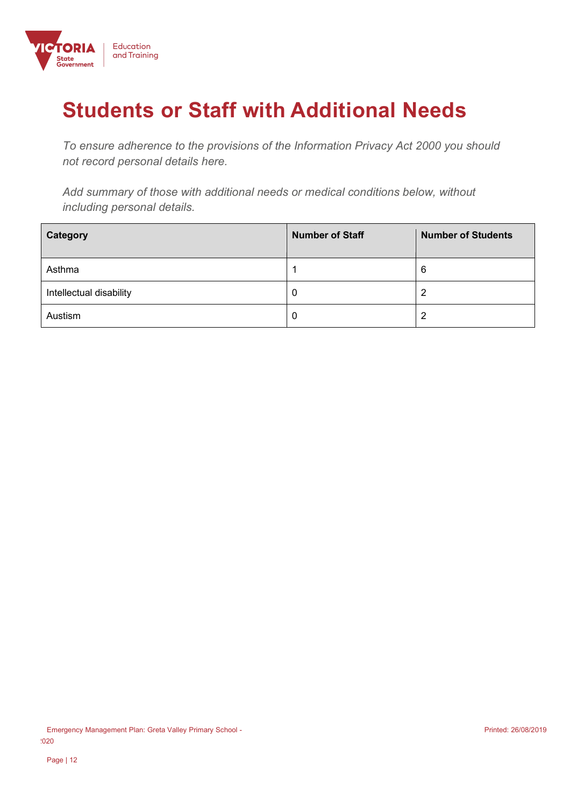

# **Students or Staff with Additional Needs**

*To ensure adherence to the provisions of the Information Privacy Act 2000 you should not record personal details here.*

*Add summary of those with additional needs or medical conditions below, without including personal details.*

| Category                | <b>Number of Staff</b> | <b>Number of Students</b> |
|-------------------------|------------------------|---------------------------|
| Asthma                  |                        | 6                         |
| Intellectual disability | 0                      | 2                         |
| Austism                 | 0                      | ົ                         |

Emergency Management Plan: Greta Valley Primary School -  $20^{10}$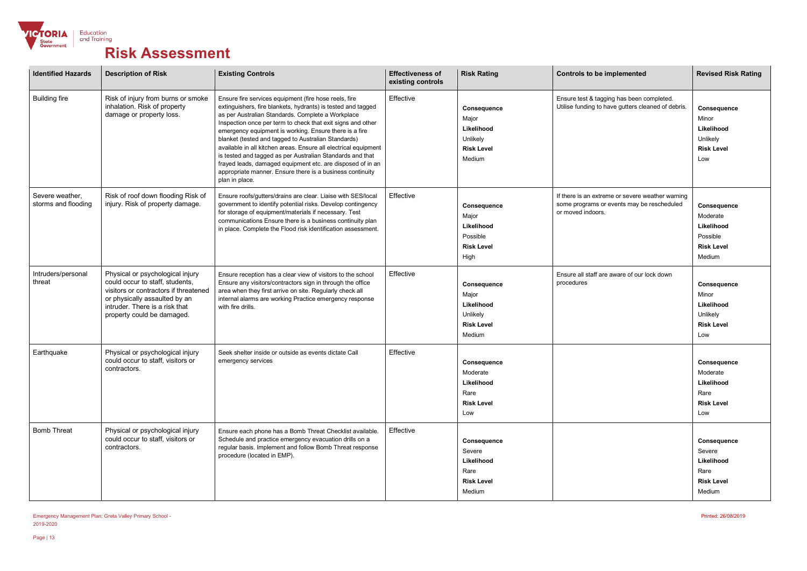

# **Risk Assessment**

| <b>Identified Hazards</b>              | <b>Description of Risk</b>                                                                                                                                                                                    | <b>Existing Controls</b>                                                                                                                                                                                                                                                                                                                                                                                                                                                                                                                                                                                                                | <b>Effectiveness of</b><br>existing controls | <b>Risk Rating</b>                                                                   | <b>Controls to be implemented</b>                                                                                   | <b>Revised Risk Rating</b>                                                              |
|----------------------------------------|---------------------------------------------------------------------------------------------------------------------------------------------------------------------------------------------------------------|-----------------------------------------------------------------------------------------------------------------------------------------------------------------------------------------------------------------------------------------------------------------------------------------------------------------------------------------------------------------------------------------------------------------------------------------------------------------------------------------------------------------------------------------------------------------------------------------------------------------------------------------|----------------------------------------------|--------------------------------------------------------------------------------------|---------------------------------------------------------------------------------------------------------------------|-----------------------------------------------------------------------------------------|
| <b>Building fire</b>                   | Risk of injury from burns or smoke<br>inhalation. Risk of property<br>damage or property loss.                                                                                                                | Ensure fire services equipment (fire hose reels, fire<br>extinguishers, fire blankets, hydrants) is tested and tagged<br>as per Australian Standards. Complete a Workplace<br>Inspection once per term to check that exit signs and other<br>emergency equipment is working. Ensure there is a fire<br>blanket (tested and tagged to Australian Standards)<br>available in all kitchen areas. Ensure all electrical equipment<br>is tested and tagged as per Australian Standards and that<br>frayed leads, damaged equipment etc. are disposed of in an<br>appropriate manner. Ensure there is a business continuity<br>plan in place. | Effective                                    | <b>Consequence</b><br>Major<br>Likelihood<br>Unlikely<br><b>Risk Level</b><br>Medium | Ensure test & tagging has been completed.<br>Utilise funding to have gutters cleaned of debris.                     | <b>Consequence</b><br>Minor<br>Likelihood<br>Unlikely<br><b>Risk Level</b><br>Low       |
| Severe weather,<br>storms and flooding | Risk of roof down flooding Risk of<br>injury. Risk of property damage.                                                                                                                                        | Ensure roofs/gutters/drains are clear. Liaise with SES/local<br>government to identify potential risks. Develop contingency<br>for storage of equipment/materials if necessary. Test<br>communications Ensure there is a business continuity plan<br>in place. Complete the Flood risk identification assessment.                                                                                                                                                                                                                                                                                                                       | Effective                                    | <b>Consequence</b><br>Major<br>Likelihood<br>Possible<br><b>Risk Level</b><br>High   | If there is an extreme or severe weather warning<br>some programs or events may be rescheduled<br>or moved indoors. | <b>Consequence</b><br>Moderate<br>Likelihood<br>Possible<br><b>Risk Level</b><br>Medium |
| Intruders/personal<br>threat           | Physical or psychological injury<br>could occur to staff, students,<br>visitors or contractors if threatened<br>or physically assaulted by an<br>intruder. There is a risk that<br>property could be damaged. | Ensure reception has a clear view of visitors to the school<br>Ensure any visitors/contractors sign in through the office<br>area when they first arrive on site. Regularly check all<br>internal alarms are working Practice emergency response<br>with fire drills.                                                                                                                                                                                                                                                                                                                                                                   | Effective                                    | <b>Consequence</b><br>Major<br>Likelihood<br>Unlikely<br><b>Risk Level</b><br>Medium | Ensure all staff are aware of our lock down<br>procedures                                                           | <b>Consequence</b><br>Minor<br>Likelihood<br>Unlikely<br><b>Risk Level</b><br>Low       |
| Earthquake                             | Physical or psychological injury<br>could occur to staff, visitors or<br>contractors.                                                                                                                         | Seek shelter inside or outside as events dictate Call<br>emergency services                                                                                                                                                                                                                                                                                                                                                                                                                                                                                                                                                             | Effective                                    | <b>Consequence</b><br>Moderate<br>Likelihood<br>Rare<br><b>Risk Level</b><br>Low     |                                                                                                                     | <b>Consequence</b><br>Moderate<br>Likelihood<br>Rare<br><b>Risk Level</b><br>Low        |
| <b>Bomb Threat</b>                     | Physical or psychological injury<br>could occur to staff, visitors or<br>contractors.                                                                                                                         | Ensure each phone has a Bomb Threat Checklist available.<br>Schedule and practice emergency evacuation drills on a<br>regular basis. Implement and follow Bomb Threat response<br>procedure (located in EMP).                                                                                                                                                                                                                                                                                                                                                                                                                           | Effective                                    | <b>Consequence</b><br>Severe<br>Likelihood<br>Rare<br><b>Risk Level</b><br>Medium    |                                                                                                                     | <b>Consequence</b><br>Severe<br>Likelihood<br>Rare<br><b>Risk Level</b><br>Medium       |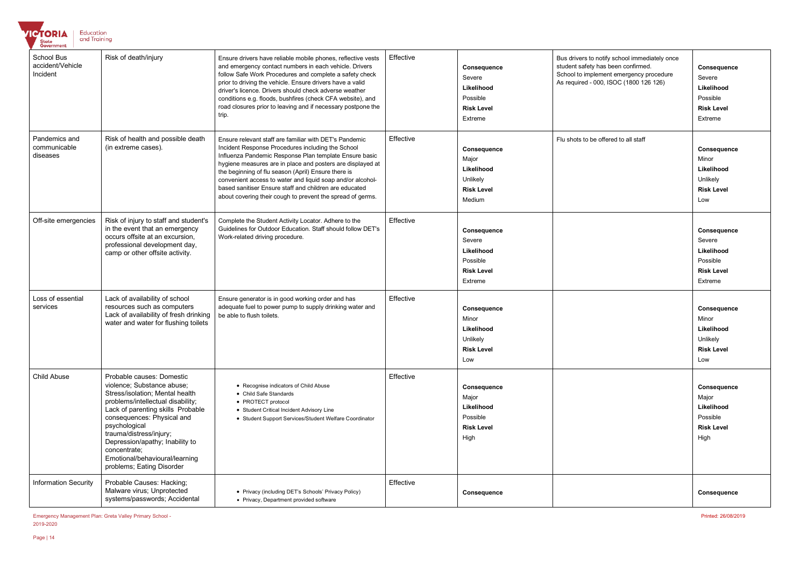**CTORIA** 

Education



| school immediately once<br>een confirmed.<br>t emergency procedure<br>SOC (1800 126 126) | <b>Consequence</b><br>Severe<br>Likelihood<br>Possible<br><b>Risk Level</b><br>Extreme |
|------------------------------------------------------------------------------------------|----------------------------------------------------------------------------------------|
| ed to all staff                                                                          | <b>Consequence</b><br>Minor<br>Likelihood<br>Unlikely<br><b>Risk Level</b><br>Low      |
|                                                                                          | <b>Consequence</b><br>Severe<br>Likelihood<br>Possible<br><b>Risk Level</b><br>Extreme |
|                                                                                          | Consequence<br>Minor<br>Likelihood<br>Unlikely<br><b>Risk Level</b><br>Low             |
|                                                                                          | <b>Consequence</b><br>Major<br>Likelihood<br>Possible<br><b>Risk Level</b><br>High     |
|                                                                                          | Consequence                                                                            |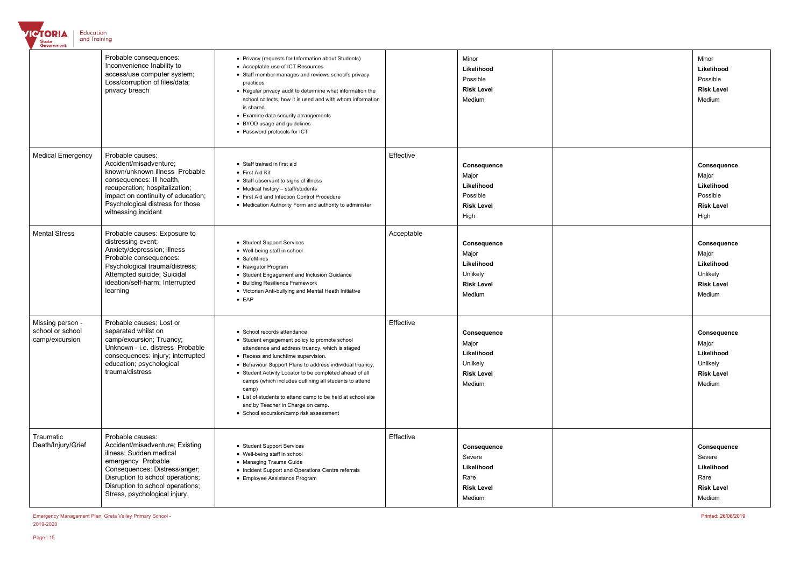

|                                                        | Probable consequences:<br>Inconvenience Inability to<br>access/use computer system;<br>Loss/corruption of files/data;<br>privacy breach                                                                                                        | • Privacy (requests for Information about Students)<br>• Acceptable use of ICT Resources<br>• Staff member manages and reviews school's privacy<br>practices<br>• Regular privacy audit to determine what information the<br>school collects, how it is used and with whom information<br>is shared.<br>• Examine data security arrangements<br>• BYOD usage and guidelines<br>• Password protocols for ICT                                                                                                     |            | Minor<br>Likelihood<br>Possible<br><b>Risk Level</b><br>Medium                       |  |
|--------------------------------------------------------|------------------------------------------------------------------------------------------------------------------------------------------------------------------------------------------------------------------------------------------------|-----------------------------------------------------------------------------------------------------------------------------------------------------------------------------------------------------------------------------------------------------------------------------------------------------------------------------------------------------------------------------------------------------------------------------------------------------------------------------------------------------------------|------------|--------------------------------------------------------------------------------------|--|
| <b>Medical Emergency</b>                               | Probable causes:<br>Accident/misadventure;<br>known/unknown illness Probable<br>consequences: III health,<br>recuperation; hospitalization;<br>impact on continuity of education;<br>Psychological distress for those<br>witnessing incident   | • Staff trained in first aid<br>• First Aid Kit<br>• Staff observant to signs of illness<br>• Medical history - staff/students<br>• First Aid and Infection Control Procedure<br>• Medication Authority Form and authority to administer                                                                                                                                                                                                                                                                        | Effective  | <b>Consequence</b><br>Major<br>Likelihood<br>Possible<br><b>Risk Level</b><br>High   |  |
| <b>Mental Stress</b>                                   | Probable causes: Exposure to<br>distressing event;<br>Anxiety/depression; illness<br>Probable consequences:<br>Psychological trauma/distress;<br>Attempted suicide; Suicidal<br>ideation/self-harm; Interrupted<br>learning                    | • Student Support Services<br>• Well-being staff in school<br>• SafeMinds<br>• Navigator Program<br>• Student Engagement and Inclusion Guidance<br>• Building Resilience Framework<br>• Victorian Anti-bullying and Mental Heath Initiative<br>$\bullet$ EAP                                                                                                                                                                                                                                                    | Acceptable | <b>Consequence</b><br>Major<br>Likelihood<br>Unlikely<br><b>Risk Level</b><br>Medium |  |
| Missing person -<br>school or school<br>camp/excursion | Probable causes; Lost or<br>separated whilst on<br>camp/excursion; Truancy;<br>Unknown - i.e. distress Probable<br>consequences: injury; interrupted<br>education; psychological<br>trauma/distress                                            | • School records attendance<br>• Student engagement policy to promote school<br>attendance and address truancy, which is staged<br>• Recess and lunchtime supervision.<br>• Behaviour Support Plans to address individual truancy.<br>• Student Activity Locator to be completed ahead of all<br>camps (which includes outlining all students to attend<br>camp)<br>• List of students to attend camp to be held at school site<br>and by Teacher in Charge on camp.<br>• School excursion/camp risk assessment | Effective  | <b>Consequence</b><br>Major<br>Likelihood<br>Unlikely<br><b>Risk Level</b><br>Medium |  |
| Traumatic<br>Death/Injury/Grief                        | Probable causes:<br>Accident/misadventure; Existing<br>illness; Sudden medical<br>emergency Probable<br>Consequences: Distress/anger;<br>Disruption to school operations;<br>Disruption to school operations;<br>Stress, psychological injury, | • Student Support Services<br>• Well-being staff in school<br>• Managing Trauma Guide<br>• Incident Support and Operations Centre referrals<br>• Employee Assistance Program                                                                                                                                                                                                                                                                                                                                    | Effective  | <b>Consequence</b><br>Severe<br>Likelihood<br>Rare<br><b>Risk Level</b><br>Medium    |  |

| Minor<br>Likelihood<br>Possible<br><b>Risk Level</b><br>Medium                       |
|--------------------------------------------------------------------------------------|
| <b>Consequence</b><br>Major<br>Likelihood<br>Possible<br><b>Risk Level</b><br>High   |
| <b>Consequence</b><br>Major<br>Likelihood<br>Unlikely<br><b>Risk Level</b><br>Medium |
| Consequence<br>Major<br>Likelihood<br>Unlikely<br><b>Risk Level</b><br>Medium        |
| <b>Consequence</b><br>Severe<br>Likelihood<br>Rare<br><b>Risk Level</b><br>Medium    |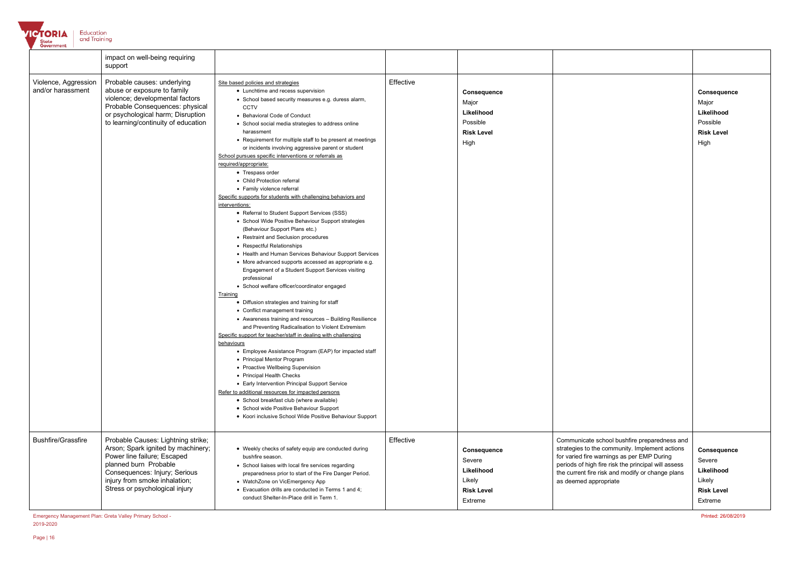

|                                           | impact on well-being requiring<br>support                                                                                                                                                                                            |                                                                                                                                                                                                                                                                                                                                                                                                                                                                                                                                                                                                                                                                                                                                                                                                                                                                                                                                                                                                                                                                                                                                                                                                                                                                                                                                                                                                                                                                                                                                                                                                                                                                                                                                                                                                              |           |                                                                                      |                                                                                                                                                     |
|-------------------------------------------|--------------------------------------------------------------------------------------------------------------------------------------------------------------------------------------------------------------------------------------|--------------------------------------------------------------------------------------------------------------------------------------------------------------------------------------------------------------------------------------------------------------------------------------------------------------------------------------------------------------------------------------------------------------------------------------------------------------------------------------------------------------------------------------------------------------------------------------------------------------------------------------------------------------------------------------------------------------------------------------------------------------------------------------------------------------------------------------------------------------------------------------------------------------------------------------------------------------------------------------------------------------------------------------------------------------------------------------------------------------------------------------------------------------------------------------------------------------------------------------------------------------------------------------------------------------------------------------------------------------------------------------------------------------------------------------------------------------------------------------------------------------------------------------------------------------------------------------------------------------------------------------------------------------------------------------------------------------------------------------------------------------------------------------------------------------|-----------|--------------------------------------------------------------------------------------|-----------------------------------------------------------------------------------------------------------------------------------------------------|
| Violence, Aggression<br>and/or harassment | Probable causes: underlying<br>abuse or exposure to family<br>violence; developmental factors<br>Probable Consequences: physical<br>or psychological harm; Disruption<br>to learning/continuity of education                         | Site based policies and strategies<br>• Lunchtime and recess supervision<br>• School based security measures e.g. duress alarm,<br><b>CCTV</b><br>• Behavioral Code of Conduct<br>• School social media strategies to address online<br>harassment<br>• Requirement for multiple staff to be present at meetings<br>or incidents involving aggressive parent or student<br>School pursues specific interventions or referrals as<br>required/appropriate:<br>• Trespass order<br>• Child Protection referral<br>• Family violence referral<br>Specific supports for students with challenging behaviors and<br>interventions:<br>• Referral to Student Support Services (SSS)<br>• School Wide Positive Behaviour Support strategies<br>(Behaviour Support Plans etc.)<br>• Restraint and Seclusion procedures<br>• Respectful Relationships<br>• Health and Human Services Behaviour Support Services<br>• More advanced supports accessed as appropriate e.g.<br>Engagement of a Student Support Services visiting<br>professional<br>• School welfare officer/coordinator engaged<br>Training<br>• Diffusion strategies and training for staff<br>• Conflict management training<br>• Awareness training and resources - Building Resilience<br>and Preventing Radicalisation to Violent Extremism<br>Specific support for teacher/staff in dealing with challenging<br>behaviours<br>• Employee Assistance Program (EAP) for impacted staff<br>• Principal Mentor Program<br>• Proactive Wellbeing Supervision<br>• Principal Health Checks<br>• Early Intervention Principal Support Service<br>Refer to additional resources for impacted persons<br>• School breakfast club (where available)<br>• School wide Positive Behaviour Support<br>• Koori inclusive School Wide Positive Behaviour Support | Effective | <b>Consequence</b><br>Major<br>Likelihood<br>Possible<br><b>Risk Level</b><br>High   |                                                                                                                                                     |
| <b>Bushfire/Grassfire</b>                 | Probable Causes: Lightning strike;<br>Arson; Spark ignited by machinery;<br>Power line failure; Escaped<br>planned burn Probable<br>Consequences: Injury; Serious<br>injury from smoke inhalation;<br>Stress or psychological injury | • Weekly checks of safety equip are conducted during<br>bushfire season.<br>• School liaises with local fire services regarding<br>preparedness prior to start of the Fire Danger Period.<br>• WatchZone on VicEmergency App<br>• Evacuation drills are conducted in Terms 1 and 4;<br>conduct Shelter-In-Place drill in Term 1.                                                                                                                                                                                                                                                                                                                                                                                                                                                                                                                                                                                                                                                                                                                                                                                                                                                                                                                                                                                                                                                                                                                                                                                                                                                                                                                                                                                                                                                                             | Effective | <b>Consequence</b><br>Severe<br>Likelihood<br>Likely<br><b>Risk Level</b><br>Extreme | Communicate schoo<br>strategies to the com<br>for varied fire warning<br>periods of high fire ris<br>the current fire risk a<br>as deemed appropria |

|                                                                                                                                                          | Consequence<br>Major<br>Likelihood<br>Possible<br><b>Risk Level</b><br>High   |
|----------------------------------------------------------------------------------------------------------------------------------------------------------|-------------------------------------------------------------------------------|
| ol bushfire preparedness and<br>nmunity. Implement actions<br>gs as per EMP During<br>isk the principal will assess<br>and modify or change plans<br>ate | Consequence<br>Severe<br>Likelihood<br>Likely<br><b>Risk Level</b><br>Extreme |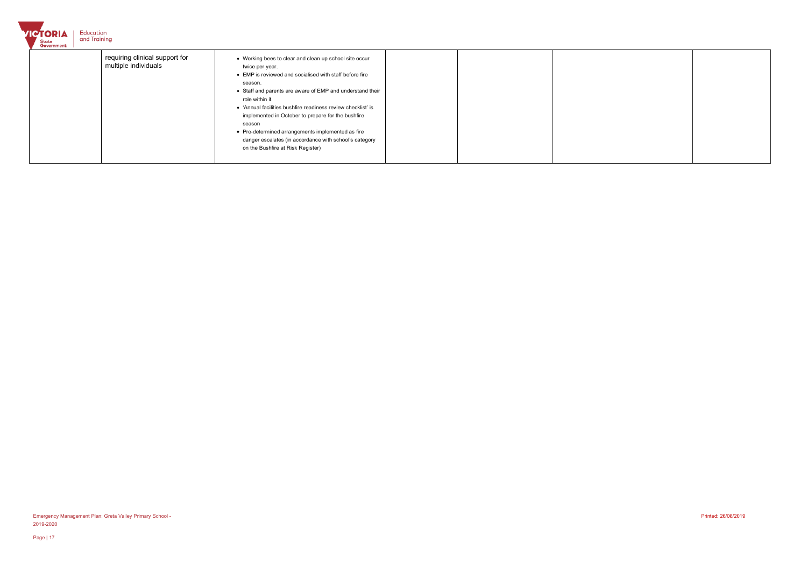Printed: 26/08/2019

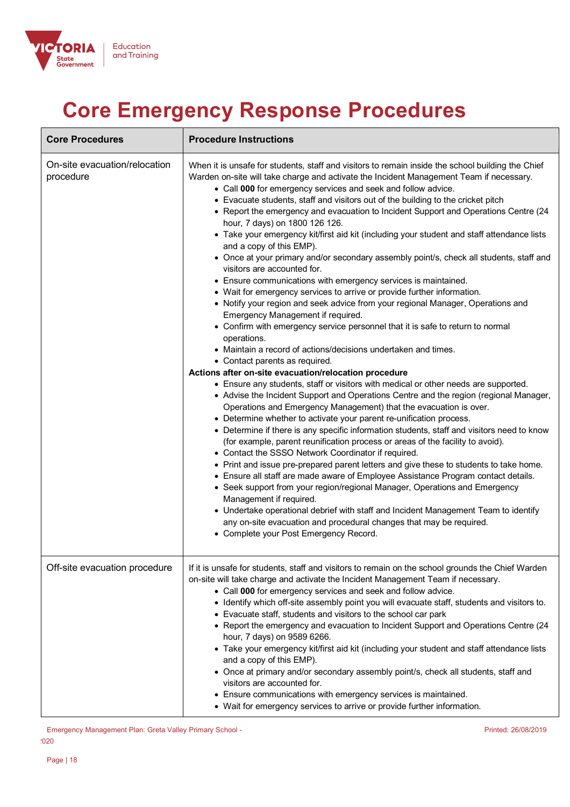

# **Core Emergency Response Procedures**

| <b>Core Procedures</b>                     | <b>Procedure Instructions</b>                                                                                                                                                                                                                                                                                                                                                                                                                                                                                                                                                                                                                                                                                                                                                                                                                                                                                                                                                                                                                                                                                                                                                                                                                                                                                                                                                                                                                                                                                                                                                                                                                                                                                                                                                                                                                                                                                                                                                                                                                                                                                                                                                                                                                                                                                                        |
|--------------------------------------------|--------------------------------------------------------------------------------------------------------------------------------------------------------------------------------------------------------------------------------------------------------------------------------------------------------------------------------------------------------------------------------------------------------------------------------------------------------------------------------------------------------------------------------------------------------------------------------------------------------------------------------------------------------------------------------------------------------------------------------------------------------------------------------------------------------------------------------------------------------------------------------------------------------------------------------------------------------------------------------------------------------------------------------------------------------------------------------------------------------------------------------------------------------------------------------------------------------------------------------------------------------------------------------------------------------------------------------------------------------------------------------------------------------------------------------------------------------------------------------------------------------------------------------------------------------------------------------------------------------------------------------------------------------------------------------------------------------------------------------------------------------------------------------------------------------------------------------------------------------------------------------------------------------------------------------------------------------------------------------------------------------------------------------------------------------------------------------------------------------------------------------------------------------------------------------------------------------------------------------------------------------------------------------------------------------------------------------------|
| On-site evacuation/relocation<br>procedure | When it is unsafe for students, staff and visitors to remain inside the school building the Chief<br>Warden on-site will take charge and activate the Incident Management Team if necessary.<br>• Call 000 for emergency services and seek and follow advice.<br>• Evacuate students, staff and visitors out of the building to the cricket pitch<br>• Report the emergency and evacuation to Incident Support and Operations Centre (24<br>hour, 7 days) on 1800 126 126.<br>• Take your emergency kit/first aid kit (including your student and staff attendance lists<br>and a copy of this EMP).<br>• Once at your primary and/or secondary assembly point/s, check all students, staff and<br>visitors are accounted for.<br>• Ensure communications with emergency services is maintained.<br>• Wait for emergency services to arrive or provide further information.<br>• Notify your region and seek advice from your regional Manager, Operations and<br>Emergency Management if required.<br>• Confirm with emergency service personnel that it is safe to return to normal<br>operations.<br>• Maintain a record of actions/decisions undertaken and times.<br>• Contact parents as required.<br>Actions after on-site evacuation/relocation procedure<br>• Ensure any students, staff or visitors with medical or other needs are supported.<br>• Advise the Incident Support and Operations Centre and the region (regional Manager,<br>Operations and Emergency Management) that the evacuation is over.<br>• Determine whether to activate your parent re-unification process.<br>• Determine if there is any specific information students, staff and visitors need to know<br>(for example, parent reunification process or areas of the facility to avoid).<br>• Contact the SSSO Network Coordinator if required.<br>• Print and issue pre-prepared parent letters and give these to students to take home.<br>• Ensure all staff are made aware of Employee Assistance Program contact details.<br>• Seek support from your region/regional Manager, Operations and Emergency<br>Management if required.<br>• Undertake operational debrief with staff and Incident Management Team to identify<br>any on-site evacuation and procedural changes that may be required.<br>• Complete your Post Emergency Record. |
| Off-site evacuation procedure              | If it is unsafe for students, staff and visitors to remain on the school grounds the Chief Warden<br>on-site will take charge and activate the Incident Management Team if necessary.<br>• Call 000 for emergency services and seek and follow advice.<br>· Identify which off-site assembly point you will evacuate staff, students and visitors to.<br>• Evacuate staff, students and visitors to the school car park<br>• Report the emergency and evacuation to Incident Support and Operations Centre (24<br>hour, 7 days) on 9589 6266.<br>• Take your emergency kit/first aid kit (including your student and staff attendance lists<br>and a copy of this EMP).<br>• Once at primary and/or secondary assembly point/s, check all students, staff and<br>visitors are accounted for.<br>• Ensure communications with emergency services is maintained.<br>• Wait for emergency services to arrive or provide further information.                                                                                                                                                                                                                                                                                                                                                                                                                                                                                                                                                                                                                                                                                                                                                                                                                                                                                                                                                                                                                                                                                                                                                                                                                                                                                                                                                                                            |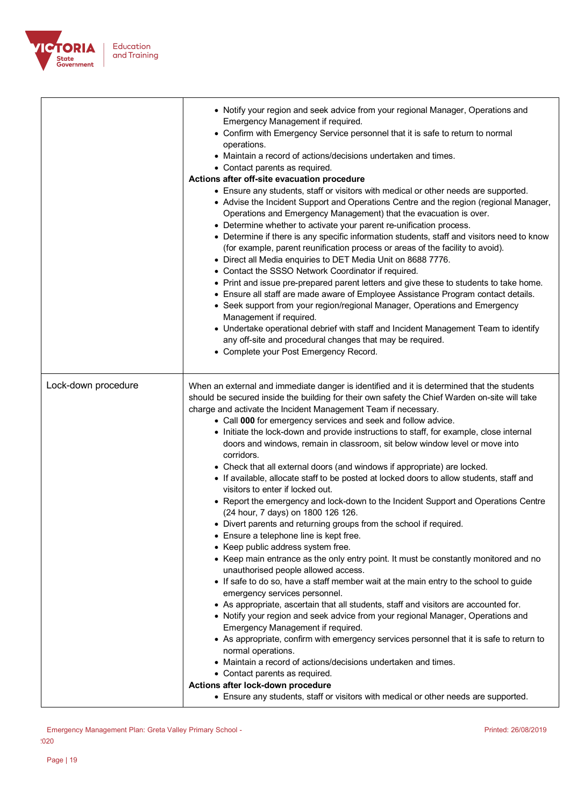

| Education    |
|--------------|
| and Training |

|                     | • Notify your region and seek advice from your regional Manager, Operations and<br>Emergency Management if required.<br>• Confirm with Emergency Service personnel that it is safe to return to normal<br>operations.<br>• Maintain a record of actions/decisions undertaken and times.<br>• Contact parents as required.<br>Actions after off-site evacuation procedure<br>• Ensure any students, staff or visitors with medical or other needs are supported.<br>• Advise the Incident Support and Operations Centre and the region (regional Manager,<br>Operations and Emergency Management) that the evacuation is over.<br>• Determine whether to activate your parent re-unification process.<br>• Determine if there is any specific information students, staff and visitors need to know<br>(for example, parent reunification process or areas of the facility to avoid).<br>• Direct all Media enquiries to DET Media Unit on 8688 7776.<br>• Contact the SSSO Network Coordinator if required.<br>• Print and issue pre-prepared parent letters and give these to students to take home.<br>• Ensure all staff are made aware of Employee Assistance Program contact details.<br>• Seek support from your region/regional Manager, Operations and Emergency<br>Management if required.<br>• Undertake operational debrief with staff and Incident Management Team to identify<br>any off-site and procedural changes that may be required.<br>• Complete your Post Emergency Record.                                                                                                                                                                                                                                                                                                                                                |
|---------------------|--------------------------------------------------------------------------------------------------------------------------------------------------------------------------------------------------------------------------------------------------------------------------------------------------------------------------------------------------------------------------------------------------------------------------------------------------------------------------------------------------------------------------------------------------------------------------------------------------------------------------------------------------------------------------------------------------------------------------------------------------------------------------------------------------------------------------------------------------------------------------------------------------------------------------------------------------------------------------------------------------------------------------------------------------------------------------------------------------------------------------------------------------------------------------------------------------------------------------------------------------------------------------------------------------------------------------------------------------------------------------------------------------------------------------------------------------------------------------------------------------------------------------------------------------------------------------------------------------------------------------------------------------------------------------------------------------------------------------------------------------------------------------------------------------------------------------------------------------|
| Lock-down procedure | When an external and immediate danger is identified and it is determined that the students<br>should be secured inside the building for their own safety the Chief Warden on-site will take<br>charge and activate the Incident Management Team if necessary.<br>• Call 000 for emergency services and seek and follow advice.<br>• Initiate the lock-down and provide instructions to staff, for example, close internal<br>doors and windows, remain in classroom, sit below window level or move into<br>corridors.<br>• Check that all external doors (and windows if appropriate) are locked.<br>• If available, allocate staff to be posted at locked doors to allow students, staff and<br>visitors to enter if locked out.<br>• Report the emergency and lock-down to the Incident Support and Operations Centre<br>(24 hour, 7 days) on 1800 126 126.<br>• Divert parents and returning groups from the school if required.<br>• Ensure a telephone line is kept free.<br>• Keep public address system free.<br>• Keep main entrance as the only entry point. It must be constantly monitored and no<br>unauthorised people allowed access.<br>• If safe to do so, have a staff member wait at the main entry to the school to guide<br>emergency services personnel.<br>• As appropriate, ascertain that all students, staff and visitors are accounted for.<br>• Notify your region and seek advice from your regional Manager, Operations and<br>Emergency Management if required.<br>• As appropriate, confirm with emergency services personnel that it is safe to return to<br>normal operations.<br>• Maintain a record of actions/decisions undertaken and times.<br>• Contact parents as required.<br>Actions after lock-down procedure<br>• Ensure any students, staff or visitors with medical or other needs are supported. |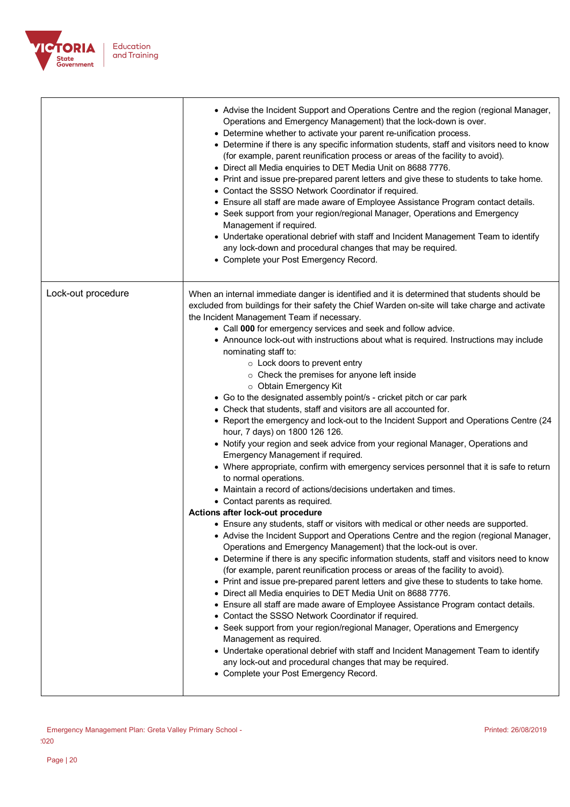

| Equeglion    |  |
|--------------|--|
| and Training |  |

|                    | • Advise the Incident Support and Operations Centre and the region (regional Manager,<br>Operations and Emergency Management) that the lock-down is over.<br>• Determine whether to activate your parent re-unification process.<br>• Determine if there is any specific information students, staff and visitors need to know<br>(for example, parent reunification process or areas of the facility to avoid).<br>• Direct all Media enquiries to DET Media Unit on 8688 7776.<br>• Print and issue pre-prepared parent letters and give these to students to take home.<br>• Contact the SSSO Network Coordinator if required.<br>• Ensure all staff are made aware of Employee Assistance Program contact details.<br>• Seek support from your region/regional Manager, Operations and Emergency<br>Management if required.<br>• Undertake operational debrief with staff and Incident Management Team to identify<br>any lock-down and procedural changes that may be required.<br>• Complete your Post Emergency Record.                                                                                                                                                                                                                                                                                                                                                                                                                                                                                                                                                                                                                                                                                                                                                                                                                                                                                                                                                                                                                                                                                                                                                                                                                        |
|--------------------|-------------------------------------------------------------------------------------------------------------------------------------------------------------------------------------------------------------------------------------------------------------------------------------------------------------------------------------------------------------------------------------------------------------------------------------------------------------------------------------------------------------------------------------------------------------------------------------------------------------------------------------------------------------------------------------------------------------------------------------------------------------------------------------------------------------------------------------------------------------------------------------------------------------------------------------------------------------------------------------------------------------------------------------------------------------------------------------------------------------------------------------------------------------------------------------------------------------------------------------------------------------------------------------------------------------------------------------------------------------------------------------------------------------------------------------------------------------------------------------------------------------------------------------------------------------------------------------------------------------------------------------------------------------------------------------------------------------------------------------------------------------------------------------------------------------------------------------------------------------------------------------------------------------------------------------------------------------------------------------------------------------------------------------------------------------------------------------------------------------------------------------------------------------------------------------------------------------------------------------------------------|
| Lock-out procedure | When an internal immediate danger is identified and it is determined that students should be<br>excluded from buildings for their safety the Chief Warden on-site will take charge and activate<br>the Incident Management Team if necessary.<br>• Call 000 for emergency services and seek and follow advice.<br>• Announce lock-out with instructions about what is required. Instructions may include<br>nominating staff to:<br>o Lock doors to prevent entry<br>o Check the premises for anyone left inside<br>o Obtain Emergency Kit<br>• Go to the designated assembly point/s - cricket pitch or car park<br>• Check that students, staff and visitors are all accounted for.<br>• Report the emergency and lock-out to the Incident Support and Operations Centre (24<br>hour, 7 days) on 1800 126 126.<br>• Notify your region and seek advice from your regional Manager, Operations and<br>Emergency Management if required.<br>• Where appropriate, confirm with emergency services personnel that it is safe to return<br>to normal operations.<br>• Maintain a record of actions/decisions undertaken and times.<br>• Contact parents as required.<br>Actions after lock-out procedure<br>• Ensure any students, staff or visitors with medical or other needs are supported.<br>• Advise the Incident Support and Operations Centre and the region (regional Manager,<br>Operations and Emergency Management) that the lock-out is over.<br>• Determine if there is any specific information students, staff and visitors need to know<br>(for example, parent reunification process or areas of the facility to avoid).<br>• Print and issue pre-prepared parent letters and give these to students to take home.<br>• Direct all Media enquiries to DET Media Unit on 8688 7776.<br>• Ensure all staff are made aware of Employee Assistance Program contact details.<br>• Contact the SSSO Network Coordinator if required.<br>• Seek support from your region/regional Manager, Operations and Emergency<br>Management as required.<br>• Undertake operational debrief with staff and Incident Management Team to identify<br>any lock-out and procedural changes that may be required.<br>• Complete your Post Emergency Record. |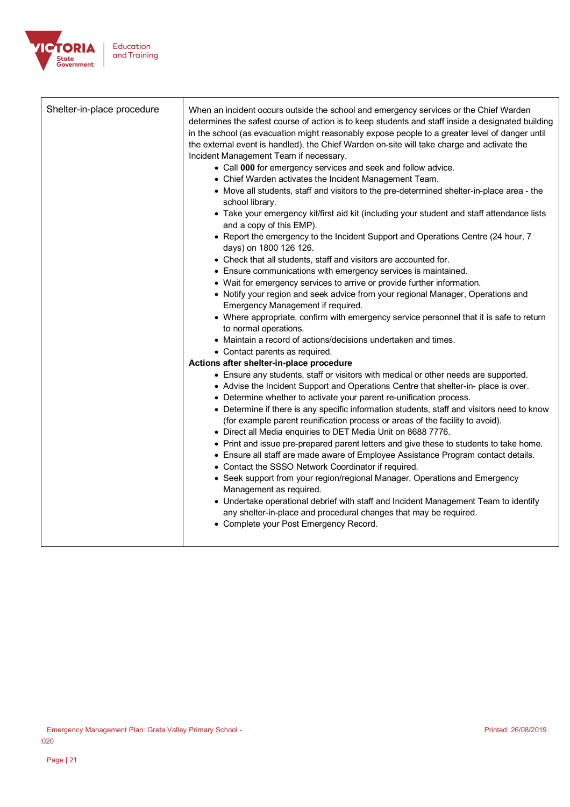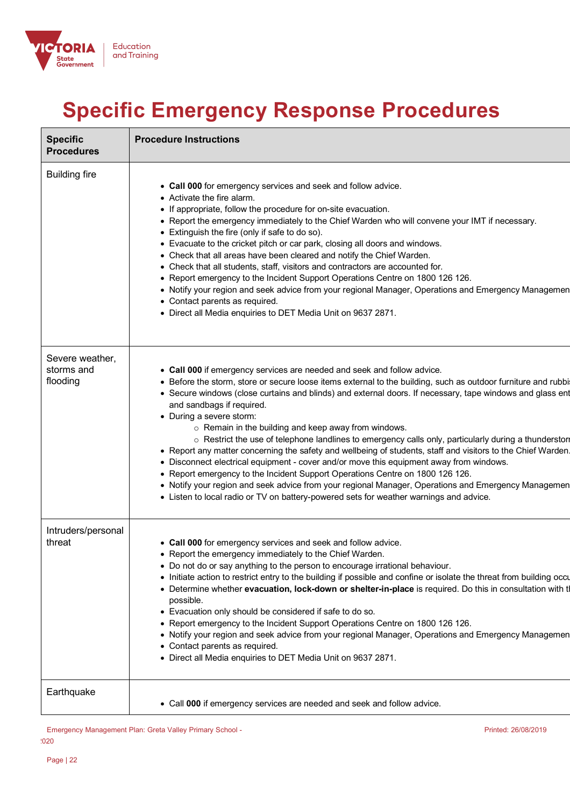

# **Specific Emergency Response Procedures**

| <b>Specific</b><br><b>Procedures</b>      | <b>Procedure Instructions</b>                                                                                                                                                                                                                                                                                                                                                                                                                                                                                                                                                                                                                                                                                                                                                                                                                                                                                                                                                                                                |
|-------------------------------------------|------------------------------------------------------------------------------------------------------------------------------------------------------------------------------------------------------------------------------------------------------------------------------------------------------------------------------------------------------------------------------------------------------------------------------------------------------------------------------------------------------------------------------------------------------------------------------------------------------------------------------------------------------------------------------------------------------------------------------------------------------------------------------------------------------------------------------------------------------------------------------------------------------------------------------------------------------------------------------------------------------------------------------|
| <b>Building fire</b>                      | • Call 000 for emergency services and seek and follow advice.<br>• Activate the fire alarm.<br>• If appropriate, follow the procedure for on-site evacuation.<br>• Report the emergency immediately to the Chief Warden who will convene your IMT if necessary.<br>• Extinguish the fire (only if safe to do so).<br>• Evacuate to the cricket pitch or car park, closing all doors and windows.<br>• Check that all areas have been cleared and notify the Chief Warden.<br>• Check that all students, staff, visitors and contractors are accounted for.<br>• Report emergency to the Incident Support Operations Centre on 1800 126 126.<br>• Notify your region and seek advice from your regional Manager, Operations and Emergency Managemen<br>• Contact parents as required.<br>• Direct all Media enquiries to DET Media Unit on 9637 2871.                                                                                                                                                                         |
| Severe weather,<br>storms and<br>flooding | • Call 000 if emergency services are needed and seek and follow advice.<br>• Before the storm, store or secure loose items external to the building, such as outdoor furniture and rubbit<br>• Secure windows (close curtains and blinds) and external doors. If necessary, tape windows and glass ent<br>and sandbags if required.<br>• During a severe storm:<br>o Remain in the building and keep away from windows.<br>o Restrict the use of telephone landlines to emergency calls only, particularly during a thunderstor<br>• Report any matter concerning the safety and wellbeing of students, staff and visitors to the Chief Warden.<br>• Disconnect electrical equipment - cover and/or move this equipment away from windows.<br>• Report emergency to the Incident Support Operations Centre on 1800 126 126.<br>. Notify your region and seek advice from your regional Manager, Operations and Emergency Managemen<br>• Listen to local radio or TV on battery-powered sets for weather warnings and advice. |
| Intruders/personal<br>threat              | • Call 000 for emergency services and seek and follow advice.<br>• Report the emergency immediately to the Chief Warden.<br>• Do not do or say anything to the person to encourage irrational behaviour.<br>• Initiate action to restrict entry to the building if possible and confine or isolate the threat from building occu<br>• Determine whether evacuation, lock-down or shelter-in-place is required. Do this in consultation with t<br>possible.<br>• Evacuation only should be considered if safe to do so.<br>• Report emergency to the Incident Support Operations Centre on 1800 126 126.<br>• Notify your region and seek advice from your regional Manager, Operations and Emergency Managemen<br>• Contact parents as required.<br>• Direct all Media enquiries to DET Media Unit on 9637 2871.                                                                                                                                                                                                             |
| Earthquake                                | • Call 000 if emergency services are needed and seek and follow advice.                                                                                                                                                                                                                                                                                                                                                                                                                                                                                                                                                                                                                                                                                                                                                                                                                                                                                                                                                      |
|                                           |                                                                                                                                                                                                                                                                                                                                                                                                                                                                                                                                                                                                                                                                                                                                                                                                                                                                                                                                                                                                                              |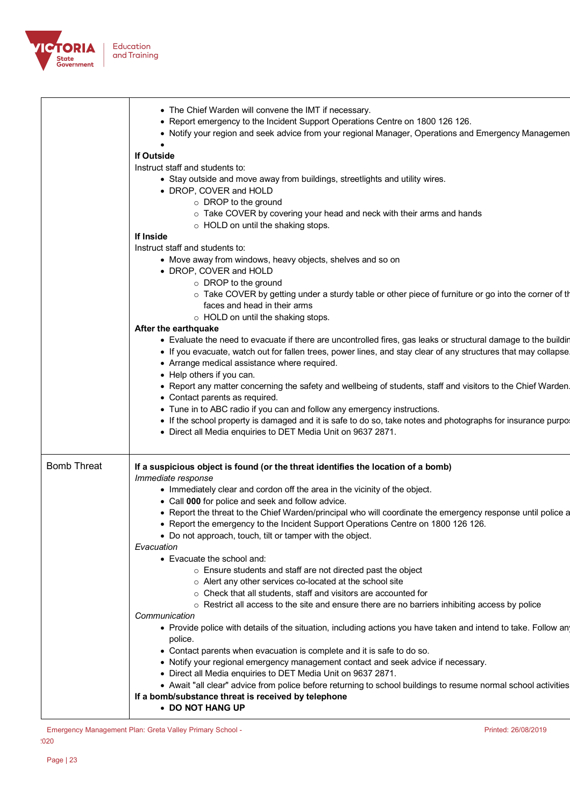

| • The Chief Warden will convene the IMT if necessary.<br>• Report emergency to the Incident Support Operations Centre on 1800 126 126.<br>• Notify your region and seek advice from your regional Manager, Operations and Emergency Managemen |
|-----------------------------------------------------------------------------------------------------------------------------------------------------------------------------------------------------------------------------------------------|
|                                                                                                                                                                                                                                               |
|                                                                                                                                                                                                                                               |
|                                                                                                                                                                                                                                               |
| <b>If Outside</b>                                                                                                                                                                                                                             |
| Instruct staff and students to:                                                                                                                                                                                                               |
| • Stay outside and move away from buildings, streetlights and utility wires.                                                                                                                                                                  |
| • DROP, COVER and HOLD                                                                                                                                                                                                                        |
| $\circ$ DROP to the ground                                                                                                                                                                                                                    |
| o Take COVER by covering your head and neck with their arms and hands                                                                                                                                                                         |
| o HOLD on until the shaking stops.                                                                                                                                                                                                            |
| If Inside                                                                                                                                                                                                                                     |
| Instruct staff and students to:                                                                                                                                                                                                               |
| • Move away from windows, heavy objects, shelves and so on                                                                                                                                                                                    |
| • DROP, COVER and HOLD                                                                                                                                                                                                                        |
| o DROP to the ground                                                                                                                                                                                                                          |
| ○ Take COVER by getting under a sturdy table or other piece of furniture or go into the corner of the                                                                                                                                         |
| faces and head in their arms                                                                                                                                                                                                                  |
| o HOLD on until the shaking stops.                                                                                                                                                                                                            |
| After the earthquake                                                                                                                                                                                                                          |
| • Evaluate the need to evacuate if there are uncontrolled fires, gas leaks or structural damage to the buildin                                                                                                                                |
| • If you evacuate, watch out for fallen trees, power lines, and stay clear of any structures that may collapse,                                                                                                                               |
| • Arrange medical assistance where required.                                                                                                                                                                                                  |
| • Help others if you can.                                                                                                                                                                                                                     |
| • Report any matter concerning the safety and wellbeing of students, staff and visitors to the Chief Warden.                                                                                                                                  |
| • Contact parents as required.                                                                                                                                                                                                                |
| • Tune in to ABC radio if you can and follow any emergency instructions.                                                                                                                                                                      |
| • If the school property is damaged and it is safe to do so, take notes and photographs for insurance purpor                                                                                                                                  |
| • Direct all Media enquiries to DET Media Unit on 9637 2871.                                                                                                                                                                                  |
| <b>Bomb Threat</b><br>If a suspicious object is found (or the threat identifies the location of a bomb)                                                                                                                                       |
| Immediate response                                                                                                                                                                                                                            |
| • Immediately clear and cordon off the area in the vicinity of the object.                                                                                                                                                                    |
| • Call 000 for police and seek and follow advice.                                                                                                                                                                                             |
|                                                                                                                                                                                                                                               |
|                                                                                                                                                                                                                                               |
| • Report the threat to the Chief Warden/principal who will coordinate the emergency response until police a                                                                                                                                   |
| • Report the emergency to the Incident Support Operations Centre on 1800 126 126.                                                                                                                                                             |
| • Do not approach, touch, tilt or tamper with the object.<br>Evacuation                                                                                                                                                                       |
| • Evacuate the school and:                                                                                                                                                                                                                    |
|                                                                                                                                                                                                                                               |
| o Ensure students and staff are not directed past the object<br>o Alert any other services co-located at the school site                                                                                                                      |
| o Check that all students, staff and visitors are accounted for                                                                                                                                                                               |
| ○ Restrict all access to the site and ensure there are no barriers inhibiting access by police                                                                                                                                                |
| Communication                                                                                                                                                                                                                                 |
| • Provide police with details of the situation, including actions you have taken and intend to take. Follow an                                                                                                                                |
| police.                                                                                                                                                                                                                                       |
| • Contact parents when evacuation is complete and it is safe to do so.                                                                                                                                                                        |
| • Notify your regional emergency management contact and seek advice if necessary.                                                                                                                                                             |
| • Direct all Media enquiries to DET Media Unit on 9637 2871.                                                                                                                                                                                  |
| • Await "all clear" advice from police before returning to school buildings to resume normal school activities                                                                                                                                |
| If a bomb/substance threat is received by telephone<br>• DO NOT HANG UP                                                                                                                                                                       |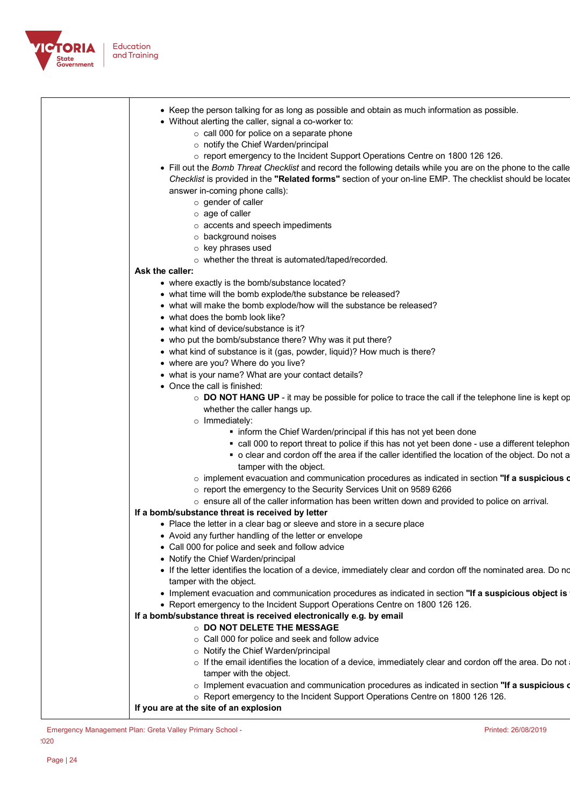

| • Keep the person talking for as long as possible and obtain as much information as possible.                                              |
|--------------------------------------------------------------------------------------------------------------------------------------------|
| • Without alerting the caller, signal a co-worker to:                                                                                      |
| o call 000 for police on a separate phone                                                                                                  |
| o notify the Chief Warden/principal                                                                                                        |
| o report emergency to the Incident Support Operations Centre on 1800 126 126.                                                              |
| • Fill out the Bomb Threat Checklist and record the following details while you are on the phone to the calle                              |
|                                                                                                                                            |
| Checklist is provided in the "Related forms" section of your on-line EMP. The checklist should be located                                  |
| answer in-coming phone calls):                                                                                                             |
| o gender of caller                                                                                                                         |
| $\circ$ age of caller                                                                                                                      |
| $\circ$ accents and speech impediments                                                                                                     |
| o background noises                                                                                                                        |
| o key phrases used                                                                                                                         |
| o whether the threat is automated/taped/recorded.                                                                                          |
| Ask the caller:                                                                                                                            |
| • where exactly is the bomb/substance located?                                                                                             |
| • what time will the bomb explode/the substance be released?                                                                               |
| • what will make the bomb explode/how will the substance be released?                                                                      |
| • what does the bomb look like?                                                                                                            |
| • what kind of device/substance is it?                                                                                                     |
| • who put the bomb/substance there? Why was it put there?                                                                                  |
| • what kind of substance is it (gas, powder, liquid)? How much is there?                                                                   |
| • where are you? Where do you live?                                                                                                        |
| • what is your name? What are your contact details?                                                                                        |
| • Once the call is finished:                                                                                                               |
| ○ DO NOT HANG UP - it may be possible for police to trace the call if the telephone line is kept op                                        |
| whether the caller hangs up.                                                                                                               |
| o Immediately:                                                                                                                             |
| . inform the Chief Warden/principal if this has not yet been done                                                                          |
| • call 000 to report threat to police if this has not yet been done - use a different telephon                                             |
| • o clear and cordon off the area if the caller identified the location of the object. Do not a                                            |
| tamper with the object.                                                                                                                    |
| $\circ$ implement evacuation and communication procedures as indicated in section "If a suspicious d                                       |
| o report the emergency to the Security Services Unit on 9589 6266                                                                          |
| $\circ$ ensure all of the caller information has been written down and provided to police on arrival.                                      |
| If a bomb/substance threat is received by letter                                                                                           |
| • Place the letter in a clear bag or sleeve and store in a secure place                                                                    |
| • Avoid any further handling of the letter or envelope                                                                                     |
| • Call 000 for police and seek and follow advice                                                                                           |
|                                                                                                                                            |
| • Notify the Chief Warden/principal                                                                                                        |
| • If the letter identifies the location of a device, immediately clear and cordon off the nominated area. Do no<br>tamper with the object. |
| . Implement evacuation and communication procedures as indicated in section "If a suspicious object is                                     |
|                                                                                                                                            |
| • Report emergency to the Incident Support Operations Centre on 1800 126 126.                                                              |
| If a bomb/substance threat is received electronically e.g. by email                                                                        |
| O DO NOT DELETE THE MESSAGE                                                                                                                |
| o Call 000 for police and seek and follow advice                                                                                           |
| o Notify the Chief Warden/principal                                                                                                        |
| $\circ$ If the email identifies the location of a device, immediately clear and cordon off the area. Do not a                              |
| tamper with the object.                                                                                                                    |
| $\circ$ Implement evacuation and communication procedures as indicated in section "If a suspicious d                                       |
| ○ Report emergency to the Incident Support Operations Centre on 1800 126 126.                                                              |
| If you are at the site of an explosion                                                                                                     |
|                                                                                                                                            |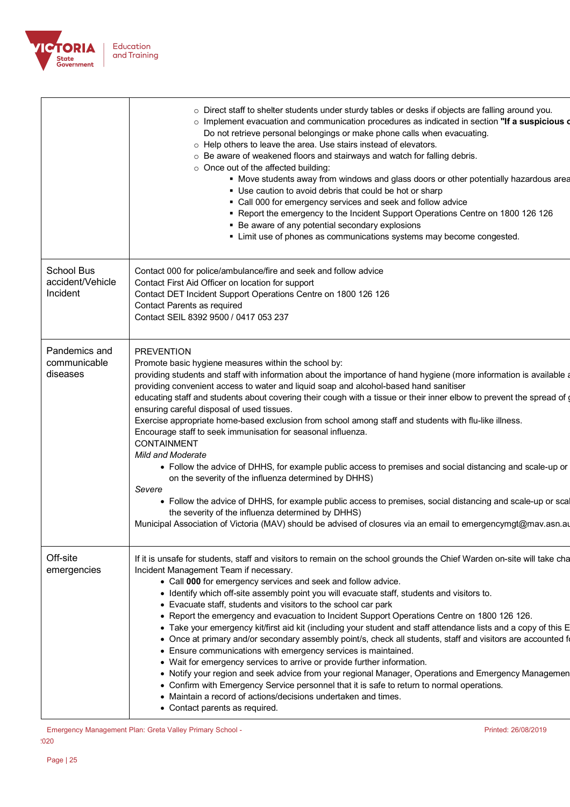

|                                                   | ○ Direct staff to shelter students under sturdy tables or desks if objects are falling around you.<br>$\circ$ Implement evacuation and communication procedures as indicated in section "If a suspicious d<br>Do not retrieve personal belongings or make phone calls when evacuating.<br>o Help others to leave the area. Use stairs instead of elevators.<br>o Be aware of weakened floors and stairways and watch for falling debris.<br>o Once out of the affected building:<br>• Move students away from windows and glass doors or other potentially hazardous area<br>• Use caution to avoid debris that could be hot or sharp<br>• Call 000 for emergency services and seek and follow advice<br>Report the emergency to the Incident Support Operations Centre on 1800 126 126<br>• Be aware of any potential secondary explosions<br>• Limit use of phones as communications systems may become congested.                                                                                                                                                                                                                                                                         |
|---------------------------------------------------|----------------------------------------------------------------------------------------------------------------------------------------------------------------------------------------------------------------------------------------------------------------------------------------------------------------------------------------------------------------------------------------------------------------------------------------------------------------------------------------------------------------------------------------------------------------------------------------------------------------------------------------------------------------------------------------------------------------------------------------------------------------------------------------------------------------------------------------------------------------------------------------------------------------------------------------------------------------------------------------------------------------------------------------------------------------------------------------------------------------------------------------------------------------------------------------------|
| <b>School Bus</b><br>accident/Vehicle<br>Incident | Contact 000 for police/ambulance/fire and seek and follow advice<br>Contact First Aid Officer on location for support<br>Contact DET Incident Support Operations Centre on 1800 126 126<br>Contact Parents as required<br>Contact SEIL 8392 9500 / 0417 053 237                                                                                                                                                                                                                                                                                                                                                                                                                                                                                                                                                                                                                                                                                                                                                                                                                                                                                                                              |
| Pandemics and<br>communicable<br>diseases         | <b>PREVENTION</b><br>Promote basic hygiene measures within the school by:<br>providing students and staff with information about the importance of hand hygiene (more information is available a<br>providing convenient access to water and liquid soap and alcohol-based hand sanitiser<br>educating staff and students about covering their cough with a tissue or their inner elbow to prevent the spread of g<br>ensuring careful disposal of used tissues.<br>Exercise appropriate home-based exclusion from school among staff and students with flu-like illness.<br>Encourage staff to seek immunisation for seasonal influenza.<br><b>CONTAINMENT</b><br>Mild and Moderate<br>• Follow the advice of DHHS, for example public access to premises and social distancing and scale-up or<br>on the severity of the influenza determined by DHHS)<br>Severe<br>• Follow the advice of DHHS, for example public access to premises, social distancing and scale-up or scal<br>the severity of the influenza determined by DHHS)<br>Municipal Association of Victoria (MAV) should be advised of closures via an email to emergencymgt@mav.asn.au                                       |
| Off-site<br>emergencies                           | If it is unsafe for students, staff and visitors to remain on the school grounds the Chief Warden on-site will take cha<br>Incident Management Team if necessary.<br>• Call 000 for emergency services and seek and follow advice.<br>• Identify which off-site assembly point you will evacuate staff, students and visitors to.<br>• Evacuate staff, students and visitors to the school car park<br>• Report the emergency and evacuation to Incident Support Operations Centre on 1800 126 126.<br>• Take your emergency kit/first aid kit (including your student and staff attendance lists and a copy of this E<br>• Once at primary and/or secondary assembly point/s, check all students, staff and visitors are accounted fo<br>• Ensure communications with emergency services is maintained.<br>• Wait for emergency services to arrive or provide further information.<br>• Notify your region and seek advice from your regional Manager, Operations and Emergency Managemen<br>• Confirm with Emergency Service personnel that it is safe to return to normal operations.<br>• Maintain a record of actions/decisions undertaken and times.<br>• Contact parents as required. |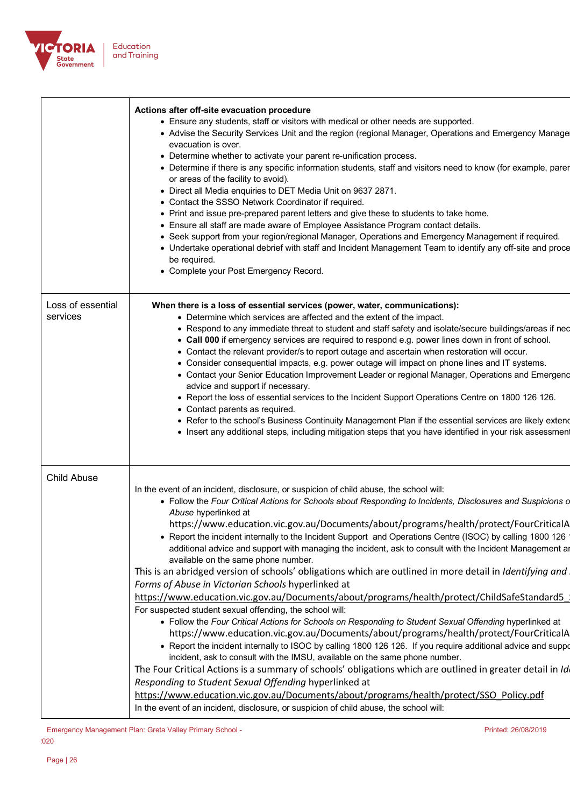

Education<br>and Training

|                               | Actions after off-site evacuation procedure<br>• Ensure any students, staff or visitors with medical or other needs are supported.<br>• Advise the Security Services Unit and the region (regional Manager, Operations and Emergency Manage<br>evacuation is over.<br>• Determine whether to activate your parent re-unification process.<br>• Determine if there is any specific information students, staff and visitors need to know (for example, parer<br>or areas of the facility to avoid).<br>• Direct all Media enquiries to DET Media Unit on 9637 2871.<br>• Contact the SSSO Network Coordinator if required.<br>• Print and issue pre-prepared parent letters and give these to students to take home.<br>• Ensure all staff are made aware of Employee Assistance Program contact details.<br>• Seek support from your region/regional Manager, Operations and Emergency Management if required.<br>• Undertake operational debrief with staff and Incident Management Team to identify any off-site and proce<br>be required.<br>• Complete your Post Emergency Record.                                                                                                                                                                                                                                                                                                                                                                                                                                                                                                                                                                                                  |
|-------------------------------|-----------------------------------------------------------------------------------------------------------------------------------------------------------------------------------------------------------------------------------------------------------------------------------------------------------------------------------------------------------------------------------------------------------------------------------------------------------------------------------------------------------------------------------------------------------------------------------------------------------------------------------------------------------------------------------------------------------------------------------------------------------------------------------------------------------------------------------------------------------------------------------------------------------------------------------------------------------------------------------------------------------------------------------------------------------------------------------------------------------------------------------------------------------------------------------------------------------------------------------------------------------------------------------------------------------------------------------------------------------------------------------------------------------------------------------------------------------------------------------------------------------------------------------------------------------------------------------------------------------------------------------------------------------------------------------------|
| Loss of essential<br>services | When there is a loss of essential services (power, water, communications):<br>• Determine which services are affected and the extent of the impact.<br>. Respond to any immediate threat to student and staff safety and isolate/secure buildings/areas if ned<br>• Call 000 if emergency services are required to respond e.g. power lines down in front of school.<br>• Contact the relevant provider/s to report outage and ascertain when restoration will occur.<br>• Consider consequential impacts, e.g. power outage will impact on phone lines and IT systems.<br>• Contact your Senior Education Improvement Leader or regional Manager, Operations and Emergenc<br>advice and support if necessary.<br>. Report the loss of essential services to the Incident Support Operations Centre on 1800 126 126.<br>• Contact parents as required.<br>• Refer to the school's Business Continuity Management Plan if the essential services are likely extend<br>• Insert any additional steps, including mitigation steps that you have identified in your risk assessment                                                                                                                                                                                                                                                                                                                                                                                                                                                                                                                                                                                                         |
| <b>Child Abuse</b>            | In the event of an incident, disclosure, or suspicion of child abuse, the school will:<br>• Follow the Four Critical Actions for Schools about Responding to Incidents, Disclosures and Suspicions of<br>Abuse hyperlinked at<br>https://www.education.vic.gov.au/Documents/about/programs/health/protect/FourCriticalA<br>. Report the incident internally to the Incident Support and Operations Centre (ISOC) by calling 1800 126<br>additional advice and support with managing the incident, ask to consult with the Incident Management ar<br>available on the same phone number.<br>This is an abridged version of schools' obligations which are outlined in more detail in Identifying and .<br>Forms of Abuse in Victorian Schools hyperlinked at<br>https://www.education.vic.gov.au/Documents/about/programs/health/protect/ChildSafeStandard5<br>For suspected student sexual offending, the school will:<br>• Follow the Four Critical Actions for Schools on Responding to Student Sexual Offending hyperlinked at<br>https://www.education.vic.gov.au/Documents/about/programs/health/protect/FourCriticalA<br>• Report the incident internally to ISOC by calling 1800 126 126. If you require additional advice and support<br>incident, ask to consult with the IMSU, available on the same phone number.<br>The Four Critical Actions is a summary of schools' obligations which are outlined in greater detail in Id<br>Responding to Student Sexual Offending hyperlinked at<br>https://www.education.vic.gov.au/Documents/about/programs/health/protect/SSO_Policy.pdf<br>In the event of an incident, disclosure, or suspicion of child abuse, the school will: |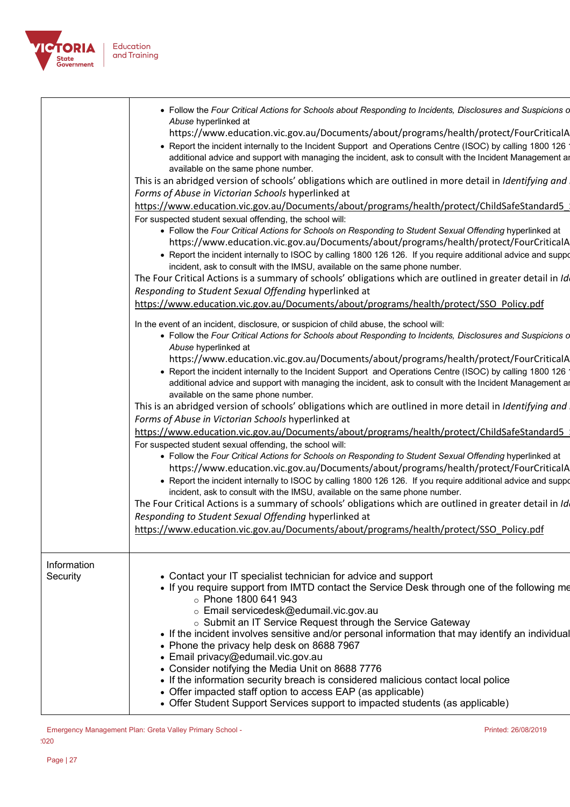

|                         | • Follow the Four Critical Actions for Schools about Responding to Incidents, Disclosures and Suspicions of<br>Abuse hyperlinked at<br>https://www.education.vic.gov.au/Documents/about/programs/health/protect/FourCriticalA<br>. Report the incident internally to the Incident Support and Operations Centre (ISOC) by calling 1800 126<br>additional advice and support with managing the incident, ask to consult with the Incident Management ar<br>available on the same phone number.<br>This is an abridged version of schools' obligations which are outlined in more detail in Identifying and<br>Forms of Abuse in Victorian Schools hyperlinked at<br>https://www.education.vic.gov.au/Documents/about/programs/health/protect/ChildSafeStandard5<br>For suspected student sexual offending, the school will:                                                                                                                                                                                                                                                                                                                                                                                                                                                                                                                                                                                                                                                                                                                                                                |
|-------------------------|-------------------------------------------------------------------------------------------------------------------------------------------------------------------------------------------------------------------------------------------------------------------------------------------------------------------------------------------------------------------------------------------------------------------------------------------------------------------------------------------------------------------------------------------------------------------------------------------------------------------------------------------------------------------------------------------------------------------------------------------------------------------------------------------------------------------------------------------------------------------------------------------------------------------------------------------------------------------------------------------------------------------------------------------------------------------------------------------------------------------------------------------------------------------------------------------------------------------------------------------------------------------------------------------------------------------------------------------------------------------------------------------------------------------------------------------------------------------------------------------------------------------------------------------------------------------------------------------|
|                         | • Follow the Four Critical Actions for Schools on Responding to Student Sexual Offending hyperlinked at<br>https://www.education.vic.gov.au/Documents/about/programs/health/protect/FourCriticalA<br>• Report the incident internally to ISOC by calling 1800 126 126. If you require additional advice and suppo<br>incident, ask to consult with the IMSU, available on the same phone number.<br>The Four Critical Actions is a summary of schools' obligations which are outlined in greater detail in Id<br>Responding to Student Sexual Offending hyperlinked at<br>https://www.education.vic.gov.au/Documents/about/programs/health/protect/SSO Policy.pdf                                                                                                                                                                                                                                                                                                                                                                                                                                                                                                                                                                                                                                                                                                                                                                                                                                                                                                                         |
|                         | In the event of an incident, disclosure, or suspicion of child abuse, the school will:<br>• Follow the Four Critical Actions for Schools about Responding to Incidents, Disclosures and Suspicions of<br>Abuse hyperlinked at<br>https://www.education.vic.gov.au/Documents/about/programs/health/protect/FourCriticalA<br>• Report the incident internally to the Incident Support and Operations Centre (ISOC) by calling 1800 126<br>additional advice and support with managing the incident, ask to consult with the Incident Management ar<br>available on the same phone number.<br>This is an abridged version of schools' obligations which are outlined in more detail in Identifying and<br>Forms of Abuse in Victorian Schools hyperlinked at<br>https://www.education.vic.gov.au/Documents/about/programs/health/protect/ChildSafeStandard5<br>For suspected student sexual offending, the school will:<br>• Follow the Four Critical Actions for Schools on Responding to Student Sexual Offending hyperlinked at<br>https://www.education.vic.gov.au/Documents/about/programs/health/protect/FourCriticalA<br>• Report the incident internally to ISOC by calling 1800 126 126. If you require additional advice and suppo<br>incident, ask to consult with the IMSU, available on the same phone number.<br>The Four Critical Actions is a summary of schools' obligations which are outlined in greater detail in Id<br>Responding to Student Sexual Offending hyperlinked at<br>https://www.education.vic.gov.au/Documents/about/programs/health/protect/SSO_Policy.pdf |
| Information<br>Security | • Contact your IT specialist technician for advice and support<br>• If you require support from IMTD contact the Service Desk through one of the following me<br>○ Phone 1800 641 943<br>o Email servicedesk@edumail.vic.gov.au<br>○ Submit an IT Service Request through the Service Gateway<br>• If the incident involves sensitive and/or personal information that may identify an individual<br>• Phone the privacy help desk on 8688 7967<br>• Email privacy@edumail.vic.gov.au<br>• Consider notifying the Media Unit on 8688 7776<br>• If the information security breach is considered malicious contact local police<br>• Offer impacted staff option to access EAP (as applicable)<br>• Offer Student Support Services support to impacted students (as applicable)                                                                                                                                                                                                                                                                                                                                                                                                                                                                                                                                                                                                                                                                                                                                                                                                            |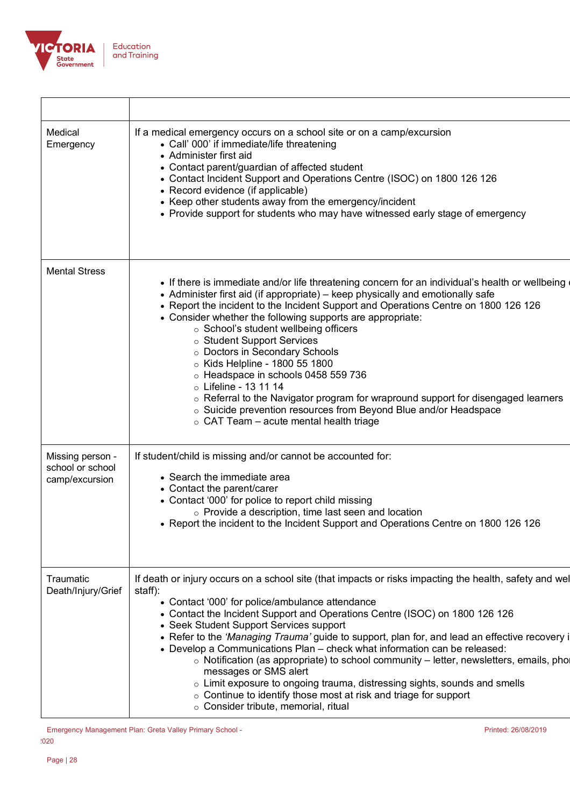

| Medical<br>If a medical emergency occurs on a school site or on a camp/excursion<br>• Call' 000' if immediate/life threatening<br>Emergency<br>• Administer first aid<br>• Contact parent/guardian of affected student<br>• Contact Incident Support and Operations Centre (ISOC) on 1800 126 126<br>• Record evidence (if applicable)<br>• Keep other students away from the emergency/incident<br>• Provide support for students who may have witnessed early stage of emergency                                                                                                                                                                                                                                                                                                                                                 |
|------------------------------------------------------------------------------------------------------------------------------------------------------------------------------------------------------------------------------------------------------------------------------------------------------------------------------------------------------------------------------------------------------------------------------------------------------------------------------------------------------------------------------------------------------------------------------------------------------------------------------------------------------------------------------------------------------------------------------------------------------------------------------------------------------------------------------------|
| <b>Mental Stress</b><br>• If there is immediate and/or life threatening concern for an individual's health or wellbeing<br>• Administer first aid (if appropriate) – keep physically and emotionally safe<br>• Report the incident to the Incident Support and Operations Centre on 1800 126 126<br>• Consider whether the following supports are appropriate:<br>○ School's student wellbeing officers<br>o Student Support Services<br>o Doctors in Secondary Schools<br>⊙ Kids Helpline - 1800 55 1800<br>o Headspace in schools 0458 559 736<br>$\circ$ Lifeline - 13 11 14<br>○ Referral to the Navigator program for wrapround support for disengaged learners<br>o Suicide prevention resources from Beyond Blue and/or Headspace<br>$\circ$ CAT Team – acute mental health triage                                          |
| If student/child is missing and/or cannot be accounted for:<br>Missing person -<br>school or school<br>• Search the immediate area<br>camp/excursion<br>• Contact the parent/carer<br>• Contact '000' for police to report child missing<br>o Provide a description, time last seen and location<br>• Report the incident to the Incident Support and Operations Centre on 1800 126 126                                                                                                                                                                                                                                                                                                                                                                                                                                            |
| If death or injury occurs on a school site (that impacts or risks impacting the health, safety and well<br>Traumatic<br>Death/Injury/Grief<br>staff):<br>• Contact '000' for police/ambulance attendance<br>• Contact the Incident Support and Operations Centre (ISOC) on 1800 126 126<br>• Seek Student Support Services support<br>• Refer to the 'Managing Trauma' guide to support, plan for, and lead an effective recovery i<br>• Develop a Communications Plan - check what information can be released:<br>$\circ$ Notification (as appropriate) to school community – letter, newsletters, emails, pho<br>messages or SMS alert<br>○ Limit exposure to ongoing trauma, distressing sights, sounds and smells<br>○ Continue to identify those most at risk and triage for support<br>○ Consider tribute, memorial, ritual |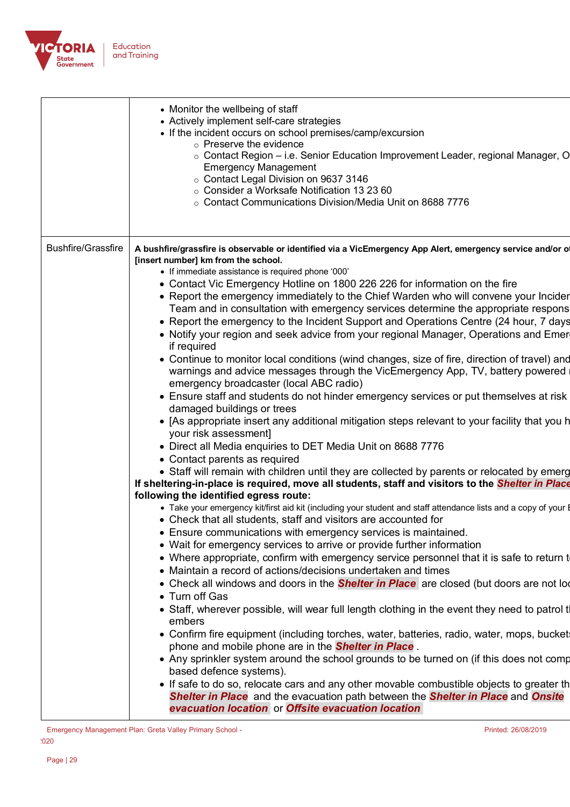

|                           | • Monitor the wellbeing of staff<br>• Actively implement self-care strategies<br>• If the incident occurs on school premises/camp/excursion<br>$\circ$ Preserve the evidence<br>○ Contact Region – i.e. Senior Education Improvement Leader, regional Manager, O<br><b>Emergency Management</b><br>○ Contact Legal Division on 9637 3146<br>○ Consider a Worksafe Notification 13 23 60<br>○ Contact Communications Division/Media Unit on 8688 7776                                                                                                                                                                                                                                                                                                                                                                                                                                                                                                                                                                                                                                                                                                                                                                                                                                                                                                                                                                                                                                                                                                                                                                                                                                                                                                                                                                                                                                                                                                                                                                                                                                                                                                                                                                                                                                                                                                                                                                                                                                                                                                                                                                                                                                                                                                     |
|---------------------------|----------------------------------------------------------------------------------------------------------------------------------------------------------------------------------------------------------------------------------------------------------------------------------------------------------------------------------------------------------------------------------------------------------------------------------------------------------------------------------------------------------------------------------------------------------------------------------------------------------------------------------------------------------------------------------------------------------------------------------------------------------------------------------------------------------------------------------------------------------------------------------------------------------------------------------------------------------------------------------------------------------------------------------------------------------------------------------------------------------------------------------------------------------------------------------------------------------------------------------------------------------------------------------------------------------------------------------------------------------------------------------------------------------------------------------------------------------------------------------------------------------------------------------------------------------------------------------------------------------------------------------------------------------------------------------------------------------------------------------------------------------------------------------------------------------------------------------------------------------------------------------------------------------------------------------------------------------------------------------------------------------------------------------------------------------------------------------------------------------------------------------------------------------------------------------------------------------------------------------------------------------------------------------------------------------------------------------------------------------------------------------------------------------------------------------------------------------------------------------------------------------------------------------------------------------------------------------------------------------------------------------------------------------------------------------------------------------------------------------------------------------|
| <b>Bushfire/Grassfire</b> | A bushfire/grassfire is observable or identified via a VicEmergency App Alert, emergency service and/or of<br>[insert number] km from the school.<br>• If immediate assistance is required phone '000'<br>• Contact Vic Emergency Hotline on 1800 226 226 for information on the fire<br>• Report the emergency immediately to the Chief Warden who will convene your Incider<br>Team and in consultation with emergency services determine the appropriate respons<br>• Report the emergency to the Incident Support and Operations Centre (24 hour, 7 days<br>• Notify your region and seek advice from your regional Manager, Operations and Emer<br>if required<br>• Continue to monitor local conditions (wind changes, size of fire, direction of travel) and<br>warnings and advice messages through the VicEmergency App, TV, battery powered<br>emergency broadcaster (local ABC radio)<br>• Ensure staff and students do not hinder emergency services or put themselves at risk<br>damaged buildings or trees<br>• [As appropriate insert any additional mitigation steps relevant to your facility that you h<br>your risk assessment]<br>• Direct all Media enquiries to DET Media Unit on 8688 7776<br>• Contact parents as required<br>• Staff will remain with children until they are collected by parents or relocated by emerg<br>If sheltering-in-place is required, move all students, staff and visitors to the Shelter in Place<br>following the identified egress route:<br>• Take your emergency kit/first aid kit (including your student and staff attendance lists and a copy of your E<br>• Check that all students, staff and visitors are accounted for<br>• Ensure communications with emergency services is maintained.<br>• Wait for emergency services to arrive or provide further information<br>• Where appropriate, confirm with emergency service personnel that it is safe to return t<br>• Maintain a record of actions/decisions undertaken and times<br>• Check all windows and doors in the <b>Shelter in Place</b> are closed (but doors are not loo<br>• Turn off Gas<br>• Staff, wherever possible, will wear full length clothing in the event they need to patrol t<br>embers<br>• Confirm fire equipment (including torches, water, batteries, radio, water, mops, bucket<br>phone and mobile phone are in the <b>Shelter in Place</b> .<br>• Any sprinkler system around the school grounds to be turned on (if this does not comp<br>based defence systems).<br>• If safe to do so, relocate cars and any other movable combustible objects to greater th<br>Shelter in Place and the evacuation path between the Shelter in Place and Onsite<br>evacuation location or Offsite evacuation location |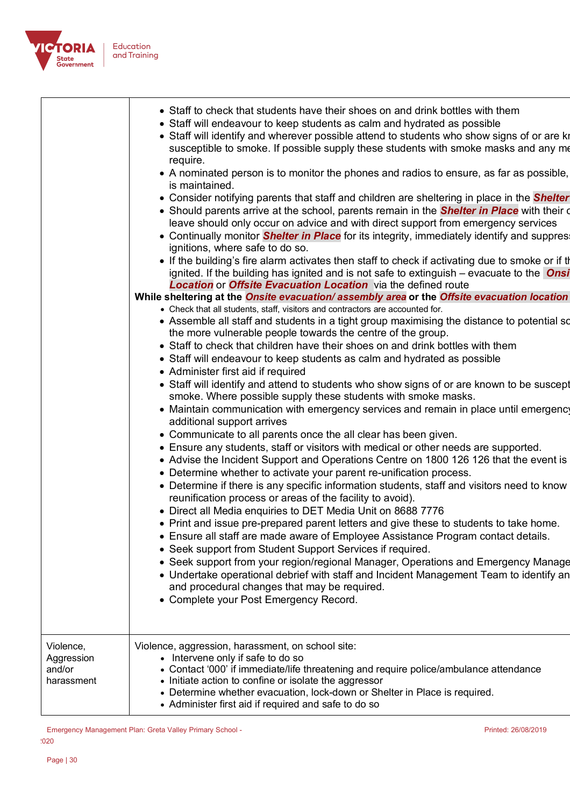

Ξ

 $\mathsf{r}$ 

|                                                 | • Staff to check that students have their shoes on and drink bottles with them<br>• Staff will endeavour to keep students as calm and hydrated as possible<br>• Staff will identify and wherever possible attend to students who show signs of or are kr<br>susceptible to smoke. If possible supply these students with smoke masks and any me<br>require.<br>• A nominated person is to monitor the phones and radios to ensure, as far as possible,<br>is maintained.<br>• Consider notifying parents that staff and children are sheltering in place in the <b>Shelter</b><br>• Should parents arrive at the school, parents remain in the <b>Shelter in Place</b> with their d<br>leave should only occur on advice and with direct support from emergency services<br>• Continually monitor <b>Shelter in Place</b> for its integrity, immediately identify and suppres:<br>ignitions, where safe to do so.<br>• If the building's fire alarm activates then staff to check if activating due to smoke or if the<br>ignited. If the building has ignited and is not safe to extinguish – evacuate to the <b>Onsi</b><br><b>Location or Offsite Evacuation Location</b> via the defined route<br>While sheltering at the Onsite evacuation/assembly area or the Offsite evacuation location<br>• Check that all students, staff, visitors and contractors are accounted for.<br>• Assemble all staff and students in a tight group maximising the distance to potential so<br>the more vulnerable people towards the centre of the group.<br>• Staff to check that children have their shoes on and drink bottles with them<br>• Staff will endeavour to keep students as calm and hydrated as possible<br>• Administer first aid if required<br>• Staff will identify and attend to students who show signs of or are known to be suscept<br>smoke. Where possible supply these students with smoke masks.<br>• Maintain communication with emergency services and remain in place until emergency<br>additional support arrives<br>• Communicate to all parents once the all clear has been given.<br>• Ensure any students, staff or visitors with medical or other needs are supported.<br>• Advise the Incident Support and Operations Centre on 1800 126 126 that the event is<br>• Determine whether to activate your parent re-unification process.<br>• Determine if there is any specific information students, staff and visitors need to know<br>reunification process or areas of the facility to avoid).<br>• Direct all Media enquiries to DET Media Unit on 8688 7776<br>• Print and issue pre-prepared parent letters and give these to students to take home.<br>• Ensure all staff are made aware of Employee Assistance Program contact details.<br>• Seek support from Student Support Services if required.<br>• Seek support from your region/regional Manager, Operations and Emergency Manage<br>• Undertake operational debrief with staff and Incident Management Team to identify an<br>and procedural changes that may be required.<br>• Complete your Post Emergency Record. |
|-------------------------------------------------|-----------------------------------------------------------------------------------------------------------------------------------------------------------------------------------------------------------------------------------------------------------------------------------------------------------------------------------------------------------------------------------------------------------------------------------------------------------------------------------------------------------------------------------------------------------------------------------------------------------------------------------------------------------------------------------------------------------------------------------------------------------------------------------------------------------------------------------------------------------------------------------------------------------------------------------------------------------------------------------------------------------------------------------------------------------------------------------------------------------------------------------------------------------------------------------------------------------------------------------------------------------------------------------------------------------------------------------------------------------------------------------------------------------------------------------------------------------------------------------------------------------------------------------------------------------------------------------------------------------------------------------------------------------------------------------------------------------------------------------------------------------------------------------------------------------------------------------------------------------------------------------------------------------------------------------------------------------------------------------------------------------------------------------------------------------------------------------------------------------------------------------------------------------------------------------------------------------------------------------------------------------------------------------------------------------------------------------------------------------------------------------------------------------------------------------------------------------------------------------------------------------------------------------------------------------------------------------------------------------------------------------------------------------------------------------------------------------------------------------------------------------------------------------------------------------------------------------------------------------------------------------------------------------------------------------------------------------------------------------------------------------------------------------------------------------------------------------------------------------------|
| Violence,<br>Aggression<br>and/or<br>harassment | Violence, aggression, harassment, on school site:<br>• Intervene only if safe to do so<br>• Contact '000' if immediate/life threatening and require police/ambulance attendance<br>• Initiate action to confine or isolate the aggressor<br>• Determine whether evacuation, lock-down or Shelter in Place is required.<br>• Administer first aid if required and safe to do so                                                                                                                                                                                                                                                                                                                                                                                                                                                                                                                                                                                                                                                                                                                                                                                                                                                                                                                                                                                                                                                                                                                                                                                                                                                                                                                                                                                                                                                                                                                                                                                                                                                                                                                                                                                                                                                                                                                                                                                                                                                                                                                                                                                                                                                                                                                                                                                                                                                                                                                                                                                                                                                                                                                                  |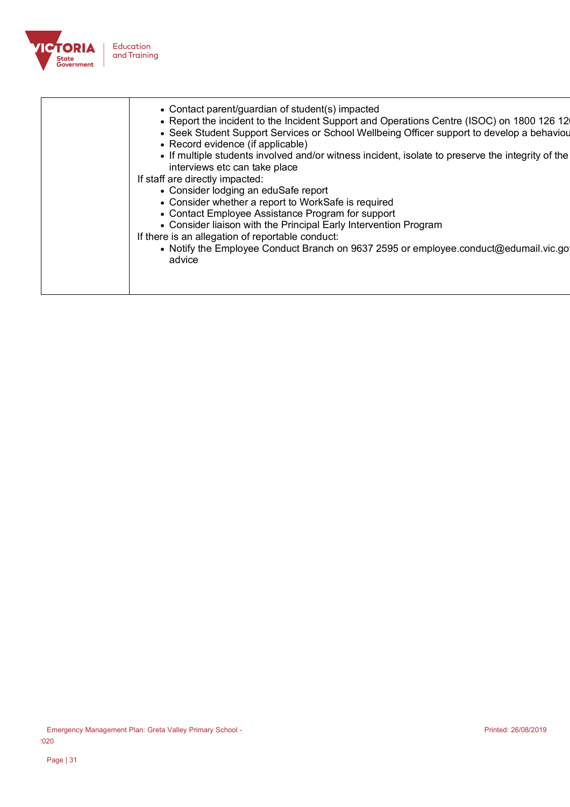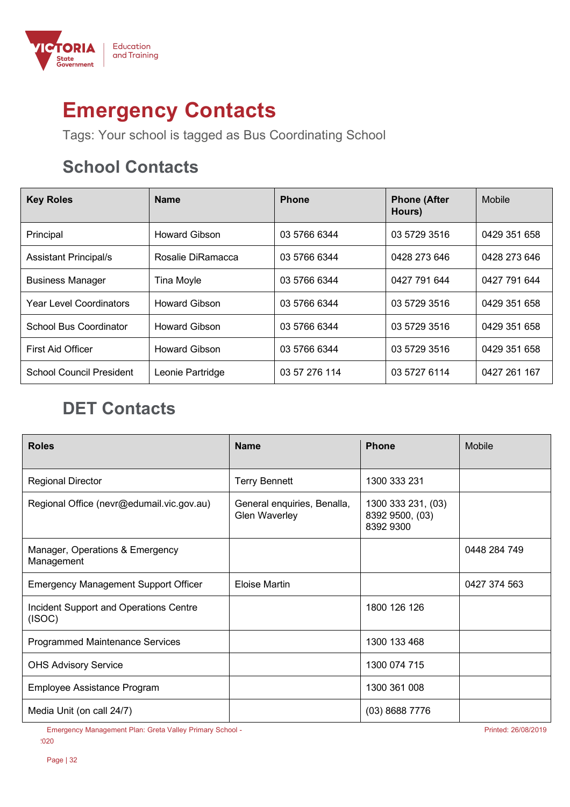

## **Emergency Contacts**

Tags: Your school is tagged as Bus Coordinating School

### **School Contacts**

| <b>Key Roles</b>               | <b>Name</b>          | <b>Phone</b>  | <b>Phone (After</b><br>Hours) | Mobile       |
|--------------------------------|----------------------|---------------|-------------------------------|--------------|
| Principal                      | <b>Howard Gibson</b> | 03 5766 6344  | 03 5729 3516                  | 0429 351 658 |
| <b>Assistant Principal/s</b>   | Rosalie DiRamacca    | 03 5766 6344  | 0428 273 646                  | 0428 273 646 |
| <b>Business Manager</b>        | Tina Moyle           | 03 5766 6344  | 0427 791 644                  | 0427 791 644 |
| <b>Year Level Coordinators</b> | <b>Howard Gibson</b> | 03 5766 6344  | 03 5729 3516                  | 0429 351 658 |
| <b>School Bus Coordinator</b>  | <b>Howard Gibson</b> | 03 5766 6344  | 03 5729 3516                  | 0429 351 658 |
| <b>First Aid Officer</b>       | <b>Howard Gibson</b> | 03 5766 6344  | 03 5729 3516                  | 0429 351 658 |
| School Council President       | Leonie Partridge     | 03 57 276 114 | 03 5727 6114                  | 0427 261 167 |

#### **DET Contacts**

| <b>Roles</b>                                     | <b>Name</b>                                         | <b>Phone</b>                                       | Mobile       |
|--------------------------------------------------|-----------------------------------------------------|----------------------------------------------------|--------------|
| <b>Regional Director</b>                         | <b>Terry Bennett</b>                                | 1300 333 231                                       |              |
| Regional Office (nevr@edumail.vic.gov.au)        | General enquiries, Benalla,<br><b>Glen Waverley</b> | 1300 333 231, (03)<br>8392 9500, (03)<br>8392 9300 |              |
| Manager, Operations & Emergency<br>Management    |                                                     |                                                    | 0448 284 749 |
| <b>Emergency Management Support Officer</b>      | Eloise Martin                                       |                                                    | 0427 374 563 |
| Incident Support and Operations Centre<br>(ISOC) |                                                     | 1800 126 126                                       |              |
| <b>Programmed Maintenance Services</b>           |                                                     | 1300 133 468                                       |              |
| <b>OHS Advisory Service</b>                      |                                                     | 1300 074 715                                       |              |
| Employee Assistance Program                      |                                                     | 1300 361 008                                       |              |
| Media Unit (on call 24/7)                        |                                                     | $(03)$ 8688 7776                                   |              |

Emergency Management Plan: Greta Valley Primary School -  $20^{10}$ 

Printed: 26/08/2019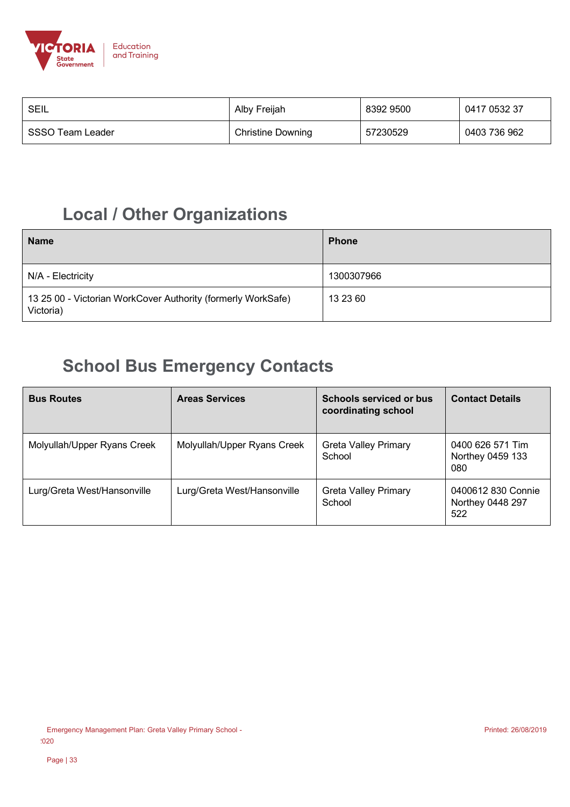

| SEIL             | Alby Freijah             | 8392 9500 | 0417 0532 37 |
|------------------|--------------------------|-----------|--------------|
| SSSO Team Leader | <b>Christine Downing</b> | 57230529  | 0403 736 962 |

### **Local / Other Organizations**

| <b>Name</b>                                                               | <b>Phone</b> |
|---------------------------------------------------------------------------|--------------|
| N/A - Electricity                                                         | 1300307966   |
| 13 25 00 - Victorian WorkCover Authority (formerly WorkSafe)<br>Victoria) | 13 23 60     |

### **School Bus Emergency Contacts**

| <b>Bus Routes</b>           | <b>Areas Services</b>       | Schools serviced or bus<br>coordinating school | <b>Contact Details</b>                        |
|-----------------------------|-----------------------------|------------------------------------------------|-----------------------------------------------|
| Molyullah/Upper Ryans Creek | Molyullah/Upper Ryans Creek | <b>Greta Valley Primary</b><br>School          | 0400 626 571 Tim<br>Northey 0459 133<br>080   |
| Lurg/Greta West/Hansonville | Lurg/Greta West/Hansonville | Greta Valley Primary<br>School                 | 0400612 830 Connie<br>Northey 0448 297<br>522 |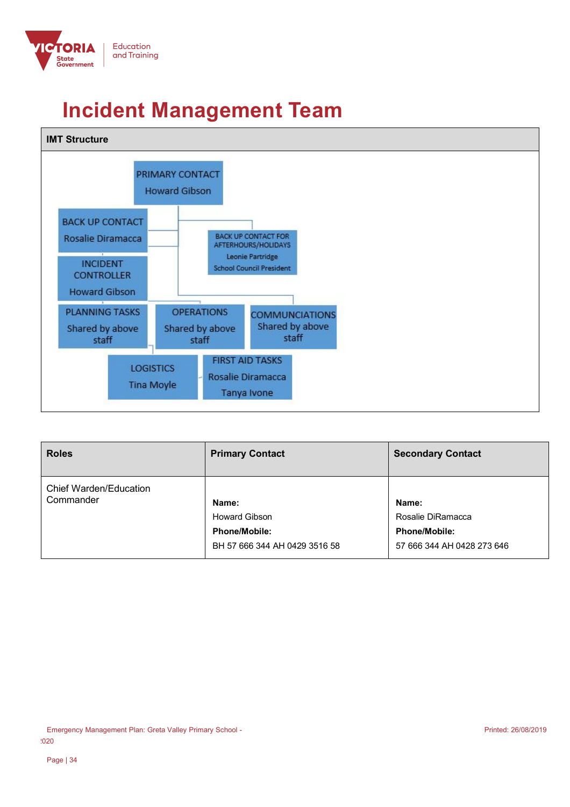

# **Incident Management Team**



| <b>Roles</b>                               | <b>Primary Contact</b>                                                                 | <b>Secondary Contact</b>                                                         |
|--------------------------------------------|----------------------------------------------------------------------------------------|----------------------------------------------------------------------------------|
| <b>Chief Warden/Education</b><br>Commander | Name:<br><b>Howard Gibson</b><br><b>Phone/Mobile:</b><br>BH 57 666 344 AH 0429 3516 58 | Name:<br>Rosalie DiRamacca<br><b>Phone/Mobile:</b><br>57 666 344 AH 0428 273 646 |

Emergency Management Plan: Greta Valley Primary School -  $20^{10}$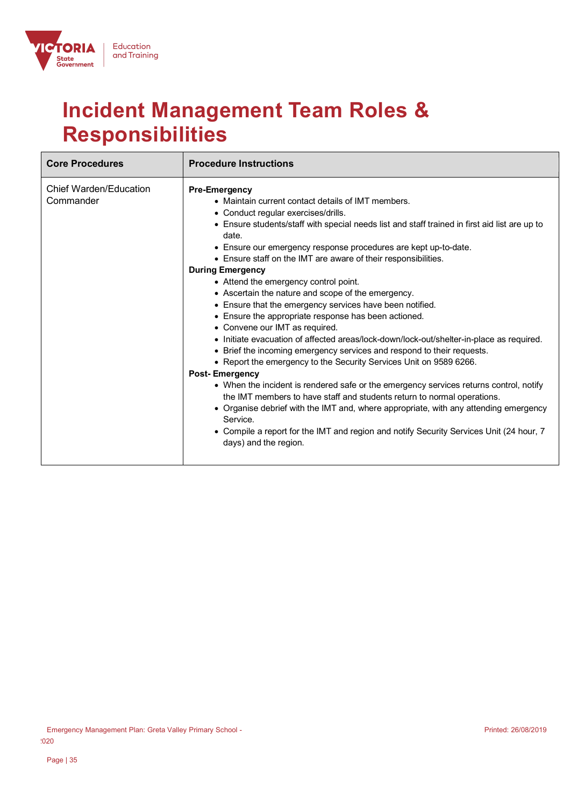# **Incident Management Team Roles & Responsibilities**

| <b>Core Procedures</b>                     | <b>Procedure Instructions</b>                                                                                                                                                                                                                                                                                                                                                                                                                                                                                                                                                                                                                                                                                                                                                                                                                                                                                                                                                                                                                                                                                                                                                                                                                                                                                      |
|--------------------------------------------|--------------------------------------------------------------------------------------------------------------------------------------------------------------------------------------------------------------------------------------------------------------------------------------------------------------------------------------------------------------------------------------------------------------------------------------------------------------------------------------------------------------------------------------------------------------------------------------------------------------------------------------------------------------------------------------------------------------------------------------------------------------------------------------------------------------------------------------------------------------------------------------------------------------------------------------------------------------------------------------------------------------------------------------------------------------------------------------------------------------------------------------------------------------------------------------------------------------------------------------------------------------------------------------------------------------------|
| <b>Chief Warden/Education</b><br>Commander | <b>Pre-Emergency</b><br>• Maintain current contact details of IMT members.<br>• Conduct regular exercises/drills.<br>• Ensure students/staff with special needs list and staff trained in first aid list are up to<br>date.<br>• Ensure our emergency response procedures are kept up-to-date.<br>• Ensure staff on the IMT are aware of their responsibilities.<br><b>During Emergency</b><br>• Attend the emergency control point.<br>• Ascertain the nature and scope of the emergency.<br>• Ensure that the emergency services have been notified.<br>• Ensure the appropriate response has been actioned.<br>• Convene our IMT as required.<br>• Initiate evacuation of affected areas/lock-down/lock-out/shelter-in-place as required.<br>• Brief the incoming emergency services and respond to their requests.<br>• Report the emergency to the Security Services Unit on 9589 6266.<br><b>Post-Emergency</b><br>• When the incident is rendered safe or the emergency services returns control, notify<br>the IMT members to have staff and students return to normal operations.<br>• Organise debrief with the IMT and, where appropriate, with any attending emergency<br>Service.<br>• Compile a report for the IMT and region and notify Security Services Unit (24 hour, 7<br>days) and the region. |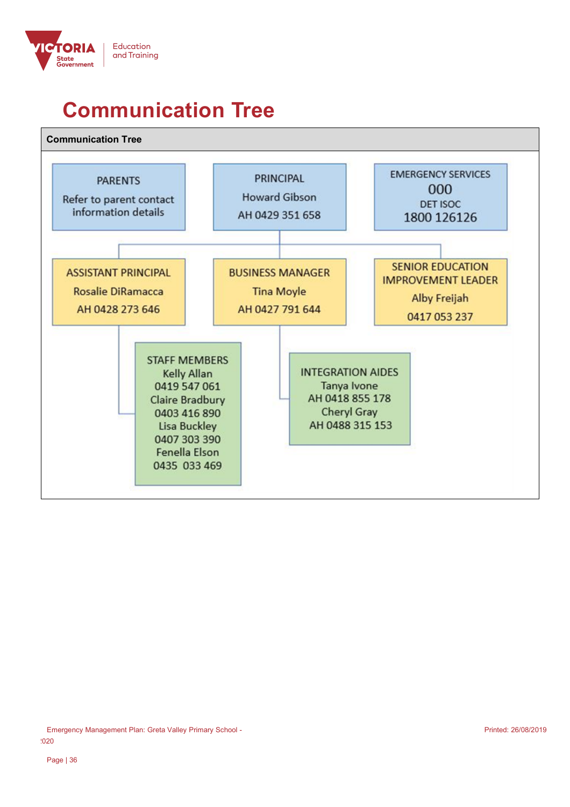

## **Communication Tree**

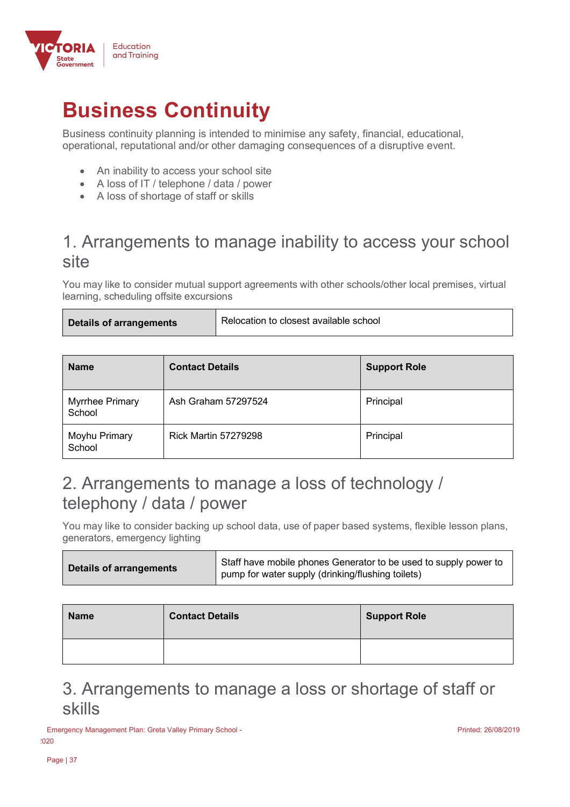

# **Business Continuity**

Business continuity planning is intended to minimise any safety, financial, educational, operational, reputational and/or other damaging consequences of a disruptive event.

- An inability to access your school site
- A loss of IT / telephone / data / power
- A loss of shortage of staff or skills

#### 1. Arrangements to manage inability to access your school site

You may like to consider mutual support agreements with other schools/other local premises, virtual learning, scheduling offsite excursions

**Details of arrangements** Relocation to closest available school

| <b>Name</b>                      | <b>Contact Details</b>      | <b>Support Role</b> |
|----------------------------------|-----------------------------|---------------------|
| <b>Myrrhee Primary</b><br>School | Ash Graham 57297524         | Principal           |
| Moyhu Primary<br>School          | <b>Rick Martin 57279298</b> | Principal           |

#### 2. Arrangements to manage a loss of technology / telephony / data / power

You may like to consider backing up school data, use of paper based systems, flexible lesson plans, generators, emergency lighting

| Staff have mobile phones Generator to be used to supply power to<br><b>Details of arrangements</b><br>pump for water supply (drinking/flushing toilets) |  |
|---------------------------------------------------------------------------------------------------------------------------------------------------------|--|
|---------------------------------------------------------------------------------------------------------------------------------------------------------|--|

| <b>Name</b> | <b>Contact Details</b> | <b>Support Role</b> |
|-------------|------------------------|---------------------|
|             |                        |                     |

#### 3. Arrangements to manage a loss or shortage of staff or skills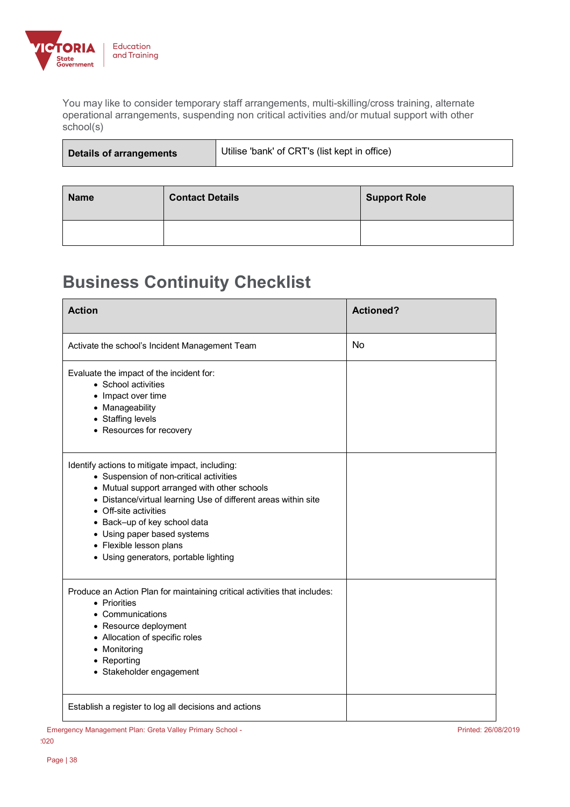

You may like to consider temporary staff arrangements, multi-skilling/cross training, alternate operational arrangements, suspending non critical activities and/or mutual support with other school(s)

| <b>Details of arrangements</b> | Utilise 'bank' of CRT's (list kept in office) |
|--------------------------------|-----------------------------------------------|
|                                |                                               |

| <b>Name</b> | <b>Contact Details</b> | <b>Support Role</b> |
|-------------|------------------------|---------------------|
|             |                        |                     |

### **Business Continuity Checklist**

| <b>Action</b>                                                                                                                                                                                                                                                                                                                                                            | <b>Actioned?</b> |
|--------------------------------------------------------------------------------------------------------------------------------------------------------------------------------------------------------------------------------------------------------------------------------------------------------------------------------------------------------------------------|------------------|
| Activate the school's Incident Management Team                                                                                                                                                                                                                                                                                                                           | <b>No</b>        |
| Evaluate the impact of the incident for:<br>• School activities<br>• Impact over time<br>• Manageability<br>• Staffing levels<br>• Resources for recovery                                                                                                                                                                                                                |                  |
| Identify actions to mitigate impact, including:<br>• Suspension of non-critical activities<br>• Mutual support arranged with other schools<br>• Distance/virtual learning Use of different areas within site<br>• Off-site activities<br>• Back-up of key school data<br>• Using paper based systems<br>• Flexible lesson plans<br>• Using generators, portable lighting |                  |
| Produce an Action Plan for maintaining critical activities that includes:<br>• Priorities<br>• Communications<br>• Resource deployment<br>• Allocation of specific roles<br>• Monitoring<br>• Reporting<br>• Stakeholder engagement                                                                                                                                      |                  |
| Establish a register to log all decisions and actions                                                                                                                                                                                                                                                                                                                    |                  |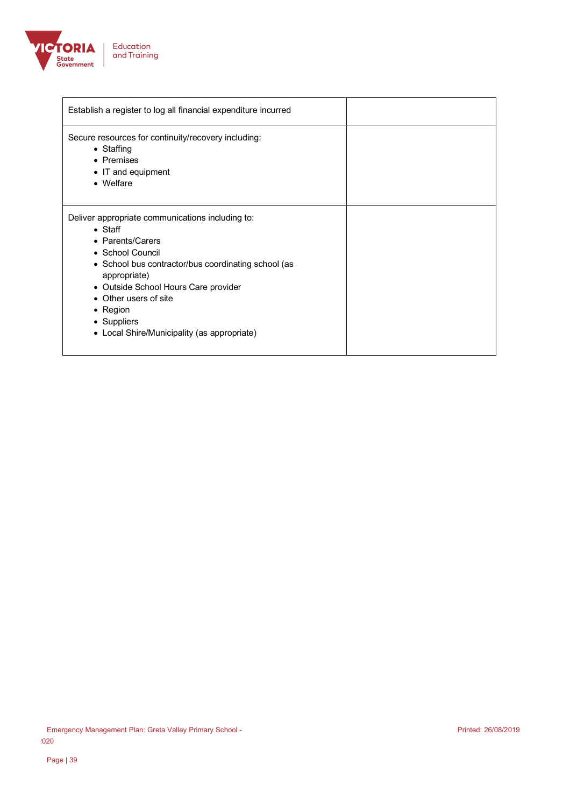

| Equeglion    |
|--------------|
| and Training |

| Establish a register to log all financial expenditure incurred                                                                                                                                                                                                                                                                        |  |
|---------------------------------------------------------------------------------------------------------------------------------------------------------------------------------------------------------------------------------------------------------------------------------------------------------------------------------------|--|
| Secure resources for continuity/recovery including:<br>• Staffing<br>• Premises<br>• IT and equipment<br>• Welfare                                                                                                                                                                                                                    |  |
| Deliver appropriate communications including to:<br>$\bullet$ Staff<br>• Parents/Carers<br>• School Council<br>• School bus contractor/bus coordinating school (as<br>appropriate)<br>• Outside School Hours Care provider<br>• Other users of site<br>$\bullet$ Region<br>• Suppliers<br>• Local Shire/Municipality (as appropriate) |  |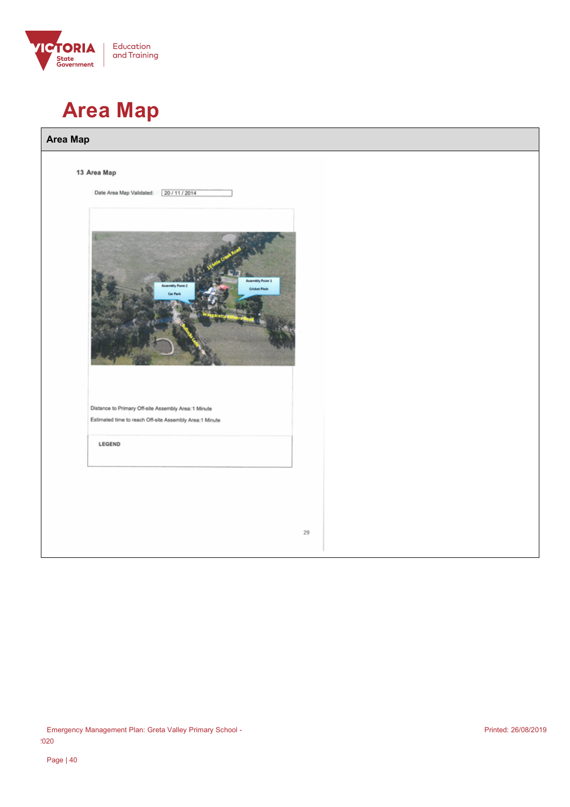

# **Area Map**